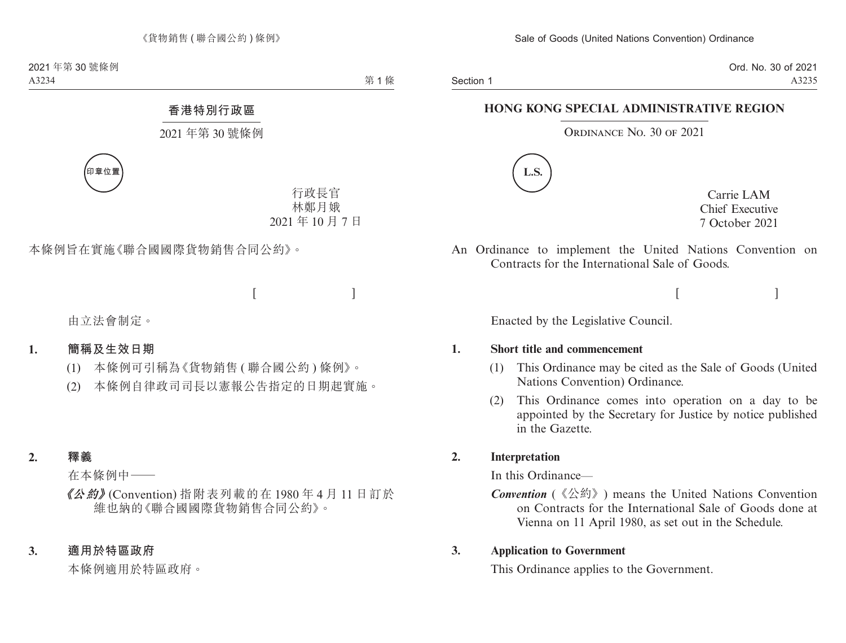Section 1

Ord. No. 30 of 2021 A3235

# **HONG KONG SPECIAL ADMINISTRATIVE REGION**

### ORDINANCE NO. 30 OF 2021



Carrie LAM Chief Executive 7 October 2021

An Ordinance to implement the United Nations Convention on Contracts for the International Sale of Goods.

 $[$ 

Enacted by the Legislative Council.

### **1. Short title and commencement**

- (1) This Ordinance may be cited as the Sale of Goods (United Nations Convention) Ordinance.
- (2) This Ordinance comes into operation on a day to be appointed by the Secretary for Justice by notice published in the Gazette.

# **2. Interpretation**

In this Ordinance—

*Convention* (《公約》) means the United Nations Convention on Contracts for the International Sale of Goods done at Vienna on 11 April 1980, as set out in the Schedule.

### **3. Application to Government**

This Ordinance applies to the Government.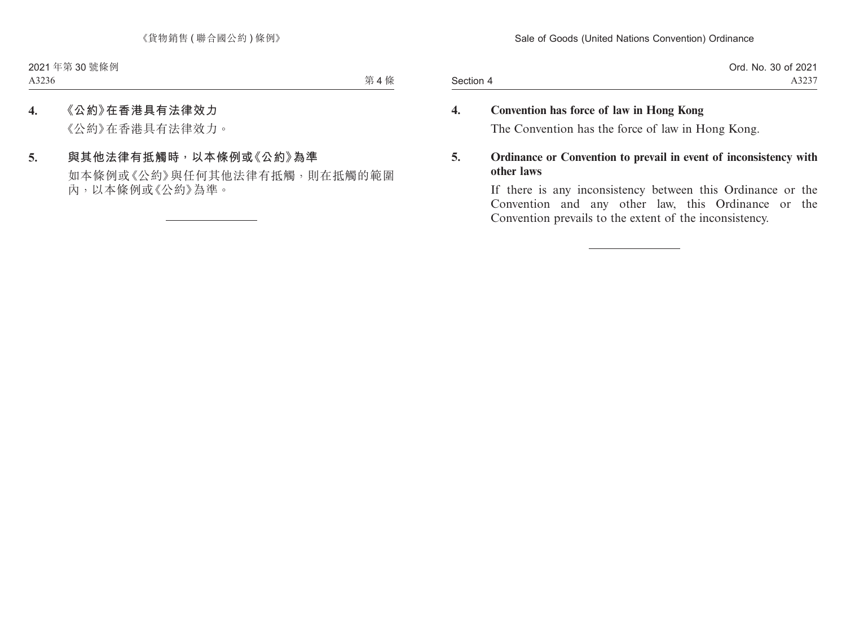|           | Ord. No. 30 of 2021 |
|-----------|---------------------|
| Section 4 | A3237               |

# **4. Convention has force of law in Hong Kong**

The Convention has the force of law in Hong Kong.

# **5. Ordinance or Convention to prevail in event of inconsistency with other laws**

If there is any inconsistency between this Ordinance or the Convention and any other law, this Ordinance or the Convention prevails to the extent of the inconsistency.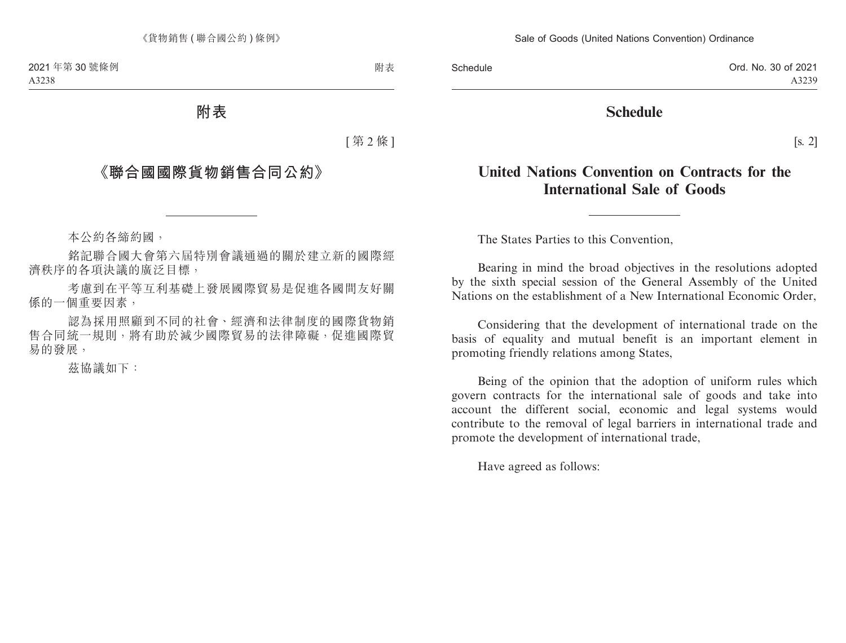# **Schedule**

[s. 2]

# **United Nations Convention on Contracts for the International Sale of Goods**

The States Parties to this Convention,

Bearing in mind the broad objectives in the resolutions adopted by the sixth special session of the General Assembly of the United Nations on the establishment of a New International Economic Order,

Considering that the development of international trade on the basis of equality and mutual benefit is an important element in promoting friendly relations among States,

Being of the opinion that the adoption of uniform rules which govern contracts for the international sale of goods and take into account the different social, economic and legal systems would contribute to the removal of legal barriers in international trade and promote the development of international trade,

Have agreed as follows: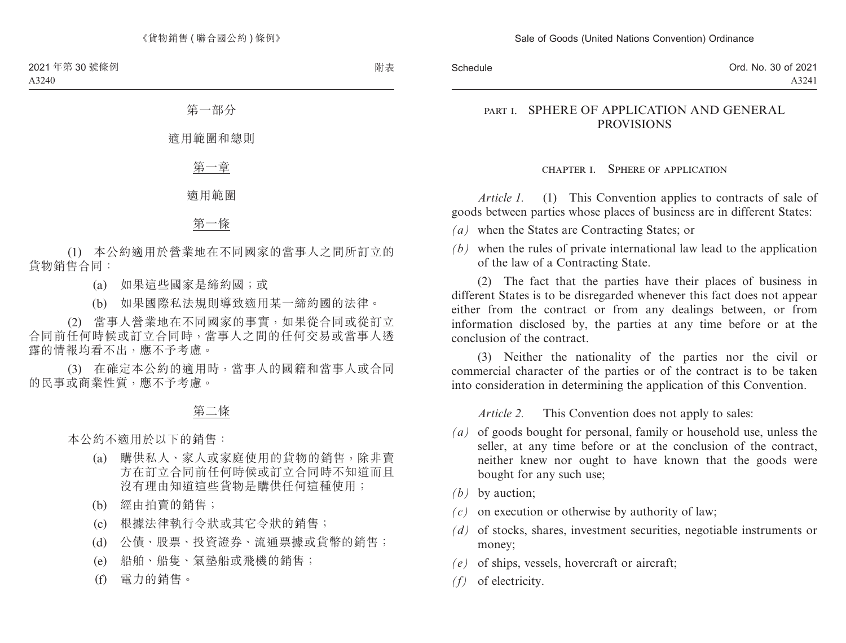Schedule

# PART I. SPHERE OF APPLICATION AND GENERAL **PROVISIONS**

#### chapter i. Sphere of application

*Article 1.* (1) This Convention applies to contracts of sale of goods between parties whose places of business are in different States:

*(a)* when the States are Contracting States; or

*(b)* when the rules of private international law lead to the application of the law of a Contracting State.

(2) The fact that the parties have their places of business in different States is to be disregarded whenever this fact does not appear either from the contract or from any dealings between, or from information disclosed by, the parties at any time before or at the conclusion of the contract.

(3) Neither the nationality of the parties nor the civil or commercial character of the parties or of the contract is to be taken into consideration in determining the application of this Convention.

*Article 2.* This Convention does not apply to sales:

- *(a)* of goods bought for personal, family or household use, unless the seller, at any time before or at the conclusion of the contract, neither knew nor ought to have known that the goods were bought for any such use;
- *(b)* by auction;
- *(c)* on execution or otherwise by authority of law;
- *(d)* of stocks, shares, investment securities, negotiable instruments or money;
- *(e)* of ships, vessels, hovercraft or aircraft;
- *(f)* of electricity.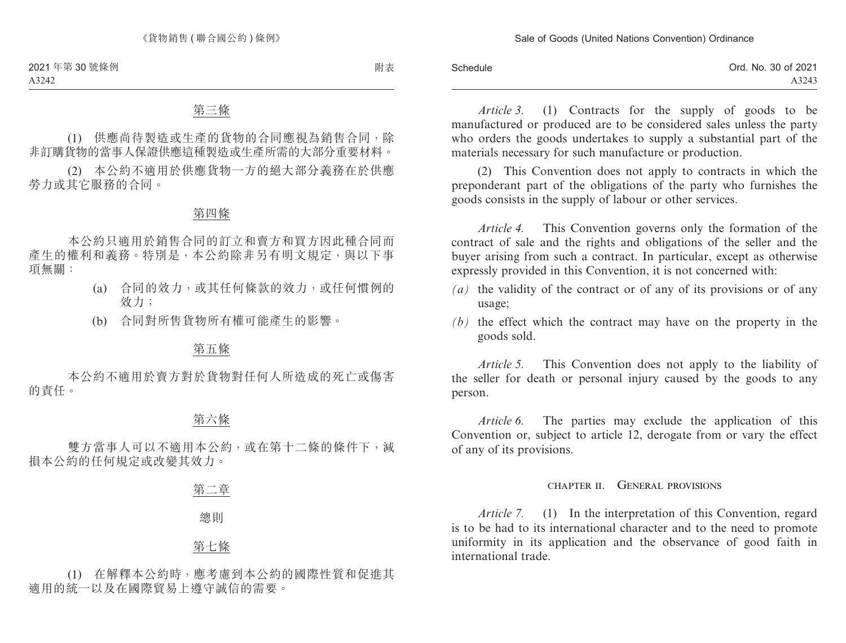| Schedule | Ord. No. 30 of 2021 |
|----------|---------------------|
|          | A3243               |

*Article 3.* (1) Contracts for the supply of goods to be manufactured or produced are to be considered sales unless the party who orders the goods undertakes to supply a substantial part of the materials necessary for such manufacture or production.

(2) This Convention does not apply to contracts in which the preponderant part of the obligations of the party who furnishes the goods consists in the supply of labour or other services.

*Article 4.* This Convention governs only the formation of the contract of sale and the rights and obligations of the seller and the buyer arising from such a contract. In particular, except as otherwise expressly provided in this Convention, it is not concerned with:

- *(a)* the validity of the contract or of any of its provisions or of any usage;
- *(b)* the effect which the contract may have on the property in the goods sold.

*Article 5.* This Convention does not apply to the liability of the seller for death or personal injury caused by the goods to any person.

*Article 6.* The parties may exclude the application of this Convention or, subject to article 12, derogate from or vary the effect of any of its provisions.

### chapter ii. General provisions

*Article 7.* (1) In the interpretation of this Convention, regard is to be had to its international character and to the need to promote uniformity in its application and the observance of good faith in international trade.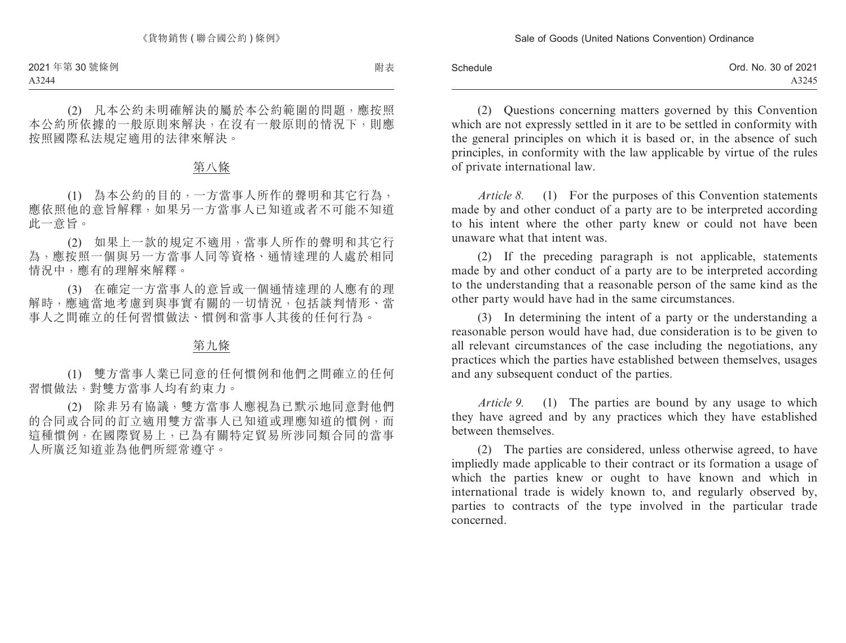| Schedule | Ord. No. 30 of 2021 |
|----------|---------------------|
|          | A3245               |

(2) Questions concerning matters governed by this Convention which are not expressly settled in it are to be settled in conformity with the general principles on which it is based or, in the absence of such principles, in conformity with the law applicable by virtue of the rules of private international law.

*Article 8.* (1) For the purposes of this Convention statements made by and other conduct of a party are to be interpreted according to his intent where the other party knew or could not have been unaware what that intent was.

(2) If the preceding paragraph is not applicable, statements made by and other conduct of a party are to be interpreted according to the understanding that a reasonable person of the same kind as the other party would have had in the same circumstances.

(3) In determining the intent of a party or the understanding a reasonable person would have had, due consideration is to be given to all relevant circumstances of the case including the negotiations, any practices which the parties have established between themselves, usages and any subsequent conduct of the parties.

*Article 9.* (1) The parties are bound by any usage to which they have agreed and by any practices which they have established between themselves.

(2) The parties are considered, unless otherwise agreed, to have impliedly made applicable to their contract or its formation a usage of which the parties knew or ought to have known and which in international trade is widely known to, and regularly observed by, parties to contracts of the type involved in the particular trade concerned.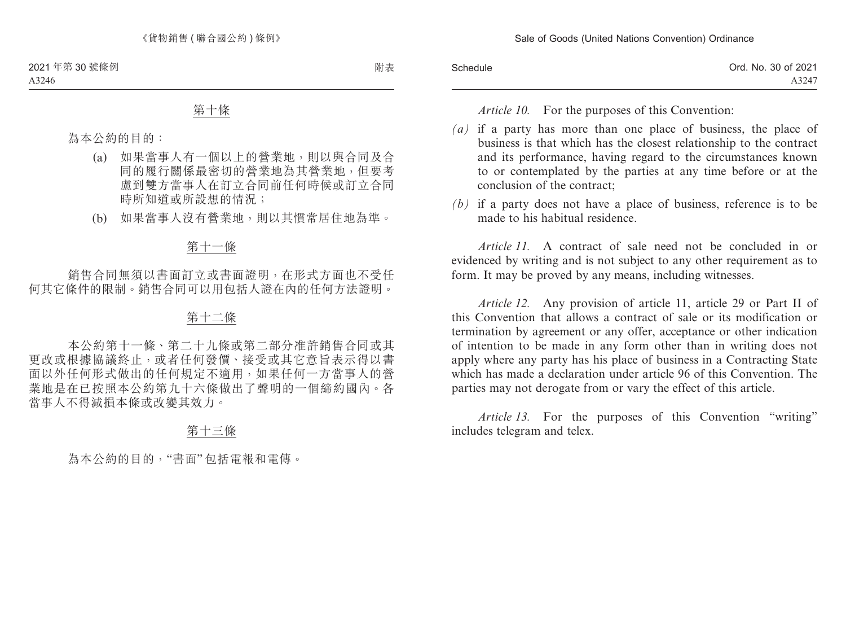| Schedule | Ord. No. 30 of 2021 |
|----------|---------------------|
|          | A3247               |

*Article 10.* For the purposes of this Convention:

- *(a)* if a party has more than one place of business, the place of business is that which has the closest relationship to the contract and its performance, having regard to the circumstances known to or contemplated by the parties at any time before or at the conclusion of the contract;
- *(b)* if a party does not have a place of business, reference is to be made to his habitual residence.

*Article 11.* A contract of sale need not be concluded in or evidenced by writing and is not subject to any other requirement as to form. It may be proved by any means, including witnesses.

*Article 12.* Any provision of article 11, article 29 or Part II of this Convention that allows a contract of sale or its modification or termination by agreement or any offer, acceptance or other indication of intention to be made in any form other than in writing does not apply where any party has his place of business in a Contracting State which has made a declaration under article 96 of this Convention. The parties may not derogate from or vary the effect of this article.

*Article 13.* For the purposes of this Convention "writing" includes telegram and telex.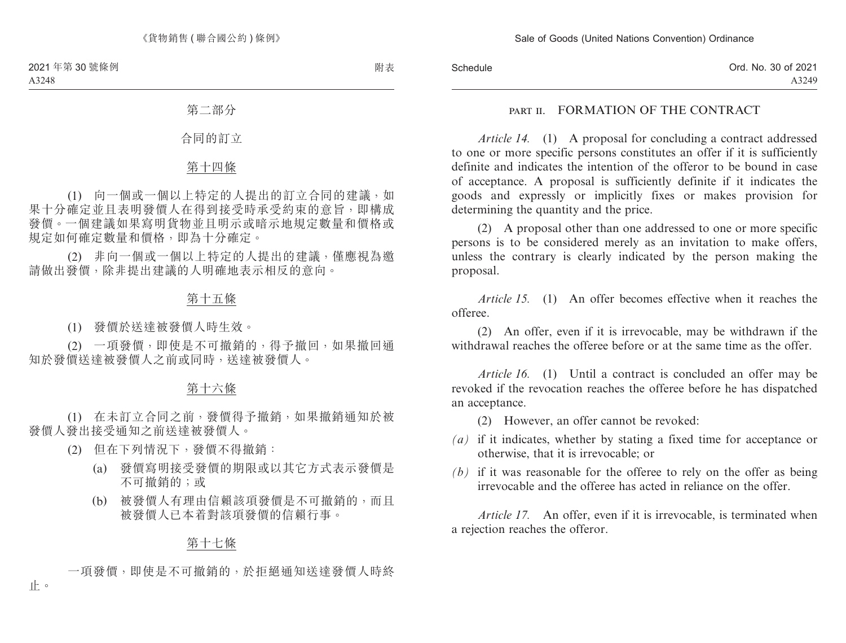Schedule

Ord. No. 30 of 2021 A3249

### PART II. FOR MATION OF THE CONTRACT

*Article 14.* (1) A proposal for concluding a contract addressed to one or more specific persons constitutes an offer if it is sufficiently definite and indicates the intention of the offeror to be bound in case of acceptance. A proposal is sufficiently definite if it indicates the goods and expressly or implicitly fixes or makes provision for determining the quantity and the price.

(2) A proposal other than one addressed to one or more specific persons is to be considered merely as an invitation to make offers, unless the contrary is clearly indicated by the person making the proposal.

*Article 15.* (1) An offer becomes effective when it reaches the offeree.

(2) An offer, even if it is irrevocable, may be withdrawn if the withdrawal reaches the offeree before or at the same time as the offer.

*Article 16.* (1) Until a contract is concluded an offer may be revoked if the revocation reaches the offeree before he has dispatched an acceptance.

(2) However, an offer cannot be revoked:

- *(a)* if it indicates, whether by stating a fixed time for acceptance or otherwise, that it is irrevocable; or
- $(b)$  if it was reasonable for the offeree to rely on the offer as being irrevocable and the offeree has acted in reliance on the offer.

*Article 17.* An offer, even if it is irrevocable, is terminated when a rejection reaches the offeror.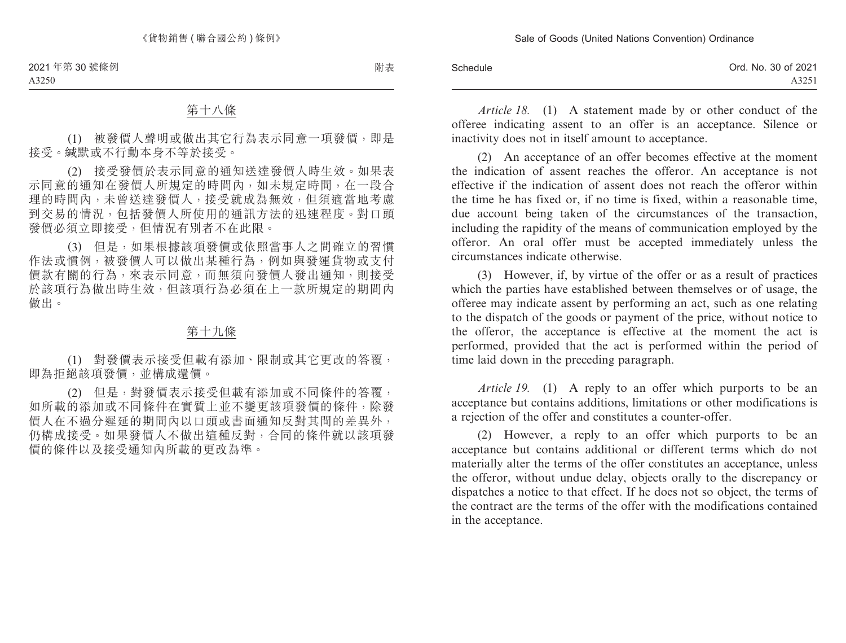| Schedule | Ord. No. 30 of 2021 |
|----------|---------------------|
|          | A3251               |

*Article 18.* (1) A statement made by or other conduct of the offeree indicating assent to an offer is an acceptance. Silence or inactivity does not in itself amount to acceptance.

(2) An acceptance of an offer becomes effective at the moment the indication of assent reaches the offeror. An acceptance is not effective if the indication of assent does not reach the offeror within the time he has fixed or, if no time is fixed, within a reasonable time, due account being taken of the circumstances of the transaction, including the rapidity of the means of communication employed by the offeror. An oral offer must be accepted immediately unless the circumstances indicate otherwise.

(3) However, if, by virtue of the offer or as a result of practices which the parties have established between themselves or of usage, the offeree may indicate assent by performing an act, such as one relating to the dispatch of the goods or payment of the price, without notice to the offeror, the acceptance is effective at the moment the act is performed, provided that the act is performed within the period of time laid down in the preceding paragraph.

*Article 19.* (1) A reply to an offer which purports to be an acceptance but contains additions, limitations or other modifications is a rejection of the offer and constitutes a counter-offer.

(2) However, a reply to an offer which purports to be an acceptance but contains additional or different terms which do not materially alter the terms of the offer constitutes an acceptance, unless the offeror, without undue delay, objects orally to the discrepancy or dispatches a notice to that effect. If he does not so object, the terms of the contract are the terms of the offer with the modifications contained in the acceptance.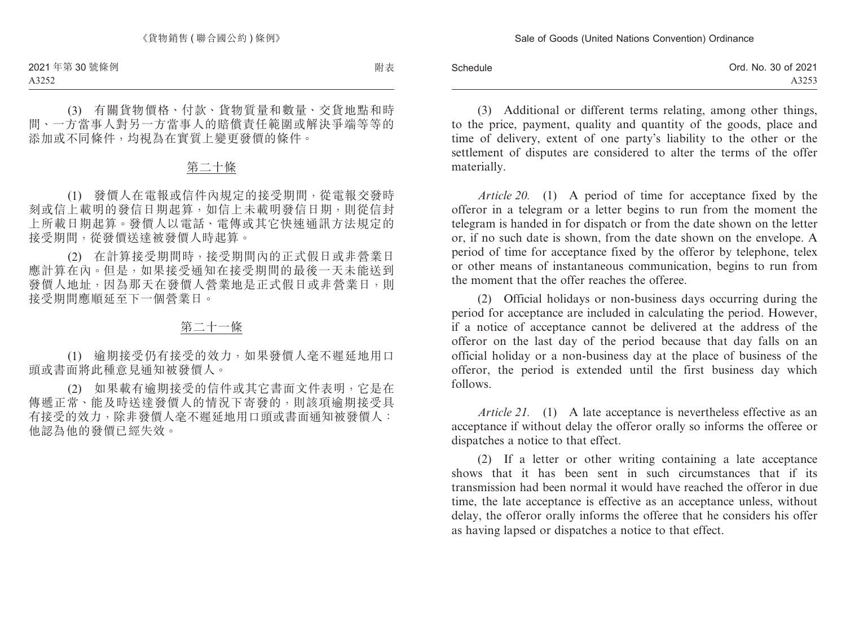| Schedule | Ord. No. 30 of 2021 |
|----------|---------------------|
|          | A3253               |

(3) Additional or different terms relating, among other things, to the price, payment, quality and quantity of the goods, place and time of delivery, extent of one party's liability to the other or the settlement of disputes are considered to alter the terms of the offer materially.

*Article 20.* (1) A period of time for acceptance fixed by the offeror in a telegram or a letter begins to run from the moment the telegram is handed in for dispatch or from the date shown on the letter or, if no such date is shown, from the date shown on the envelope. A period of time for acceptance fixed by the offeror by telephone, telex or other means of instantaneous communication, begins to run from the moment that the offer reaches the offeree.

(2) Official holidays or non-business days occurring during the period for acceptance are included in calculating the period. However, if a notice of acceptance cannot be delivered at the address of the offeror on the last day of the period because that day falls on an official holiday or a non-business day at the place of business of the offeror, the period is extended until the first business day which follows.

*Article 21.* (1) A late acceptance is nevertheless effective as an acceptance if without delay the offeror orally so informs the offeree or dispatches a notice to that effect.

(2) If a letter or other writing containing a late acceptance shows that it has been sent in such circumstances that if its transmission had been normal it would have reached the offeror in due time, the late acceptance is effective as an acceptance unless, without delay, the offeror orally informs the offeree that he considers his offer as having lapsed or dispatches a notice to that effect.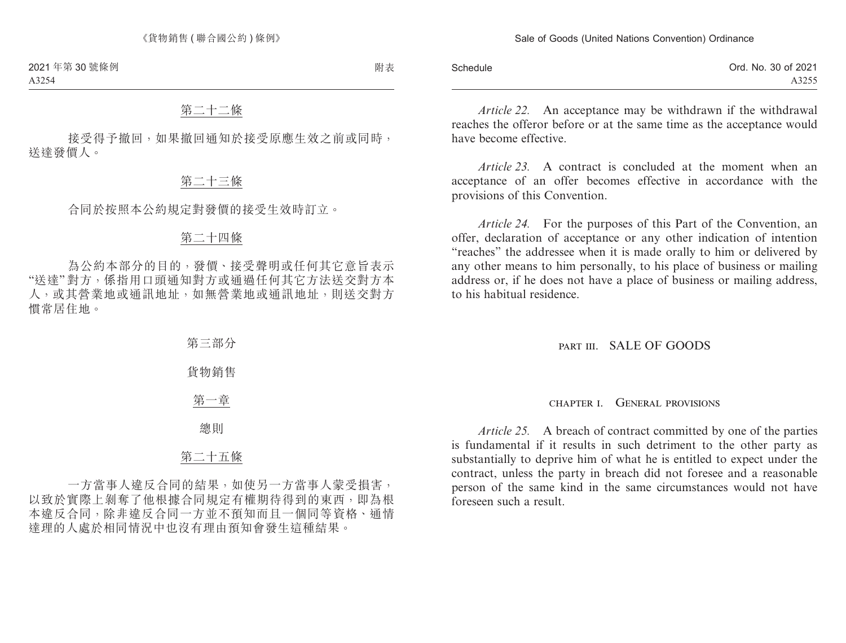| Schedule | Ord. No. 30 of 2021 |
|----------|---------------------|
|          | A3255               |

*Article 22.* An acceptance may be withdrawn if the withdrawal reaches the offeror before or at the same time as the acceptance would have become effective.

*Article 23.* A contract is concluded at the moment when an acceptance of an offer becomes effective in accordance with the provisions of this Convention.

*Article 24.* For the purposes of this Part of the Convention, an offer, declaration of acceptance or any other indication of intention "reaches" the addressee when it is made orally to him or delivered by any other means to him personally, to his place of business or mailing address or, if he does not have a place of business or mailing address, to his habitual residence.

#### PART III. SALE OF GOODS

### chapter i. General provisions

*Article 25.* A breach of contract committed by one of the parties is fundamental if it results in such detriment to the other party as substantially to deprive him of what he is entitled to expect under the contract, unless the party in breach did not foresee and a reasonable person of the same kind in the same circumstances would not have foreseen such a result.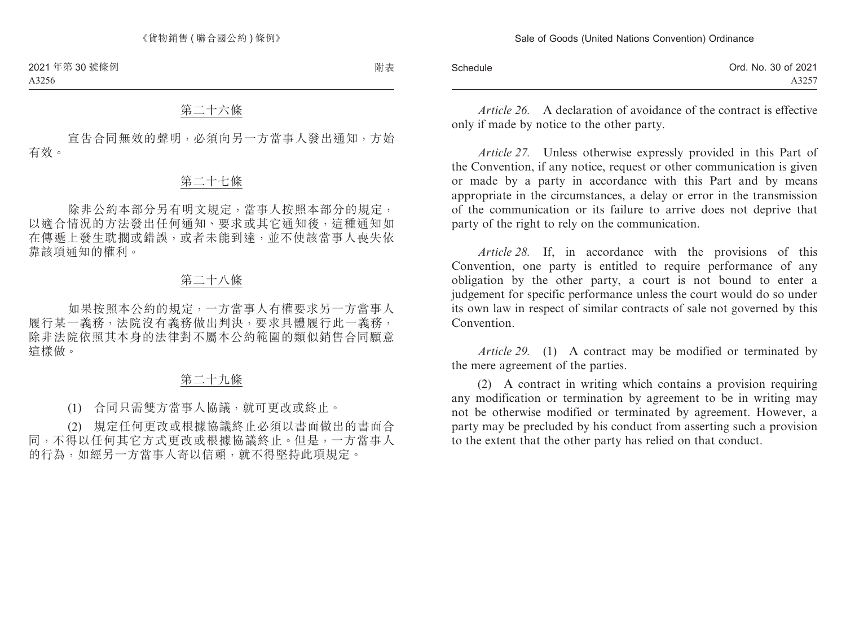Sale of Goods (United Nations Convention) Ordinance

| Schedule | Ord. No. 30 of 2021 |
|----------|---------------------|
|          | A3257               |

*Article 26.* A declaration of avoidance of the contract is effective only if made by notice to the other party.

*Article 27.* Unless otherwise expressly provided in this Part of the Convention, if any notice, request or other communication is given or made by a party in accordance with this Part and by means appropriate in the circumstances, a delay or error in the transmission of the communication or its failure to arrive does not deprive that party of the right to rely on the communication.

*Article 28.* If, in accordance with the provisions of this Convention, one party is entitled to require performance of any obligation by the other party, a court is not bound to enter a judgement for specific performance unless the court would do so under its own law in respect of similar contracts of sale not governed by this Convention.

*Article 29.* (1) A contract may be modified or terminated by the mere agreement of the parties.

(2) A contract in writing which contains a provision requiring any modification or termination by agreement to be in writing may not be otherwise modified or terminated by agreement. However, a party may be precluded by his conduct from asserting such a provision to the extent that the other party has relied on that conduct.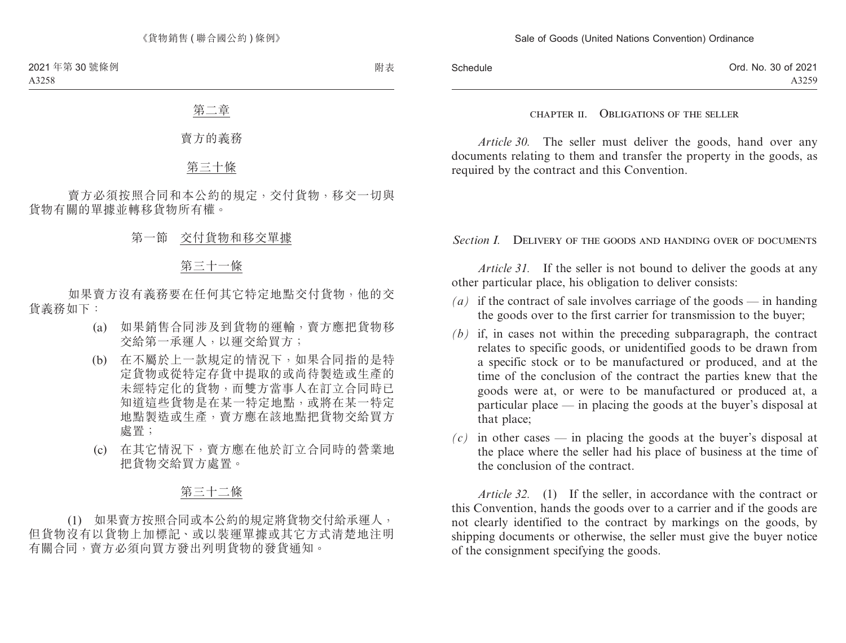| Schedule | Ord. No. 30 of 2021 |
|----------|---------------------|
|          | A3259               |

#### chapter ii. Obligations of the seller

*Article 30.* The seller must deliver the goods, hand over any documents relating to them and transfer the property in the goods, as required by the contract and this Convention.

*Section I.* Delivery of the goods and handing over of documents

*Article 31.* If the seller is not bound to deliver the goods at any other particular place, his obligation to deliver consists:

- $(a)$  if the contract of sale involves carriage of the goods in handing the goods over to the first carrier for transmission to the buyer;
- *(b)* if, in cases not within the preceding subparagraph, the contract relates to specific goods, or unidentified goods to be drawn from a specific stock or to be manufactured or produced, and at the time of the conclusion of the contract the parties knew that the goods were at, or were to be manufactured or produced at, a particular place — in placing the goods at the buyer's disposal at that place;
- $(c)$  in other cases in placing the goods at the buyer's disposal at the place where the seller had his place of business at the time of the conclusion of the contract.

*Article 32.* (1) If the seller, in accordance with the contract or this Convention, hands the goods over to a carrier and if the goods are not clearly identified to the contract by markings on the goods, by shipping documents or otherwise, the seller must give the buyer notice of the consignment specifying the goods.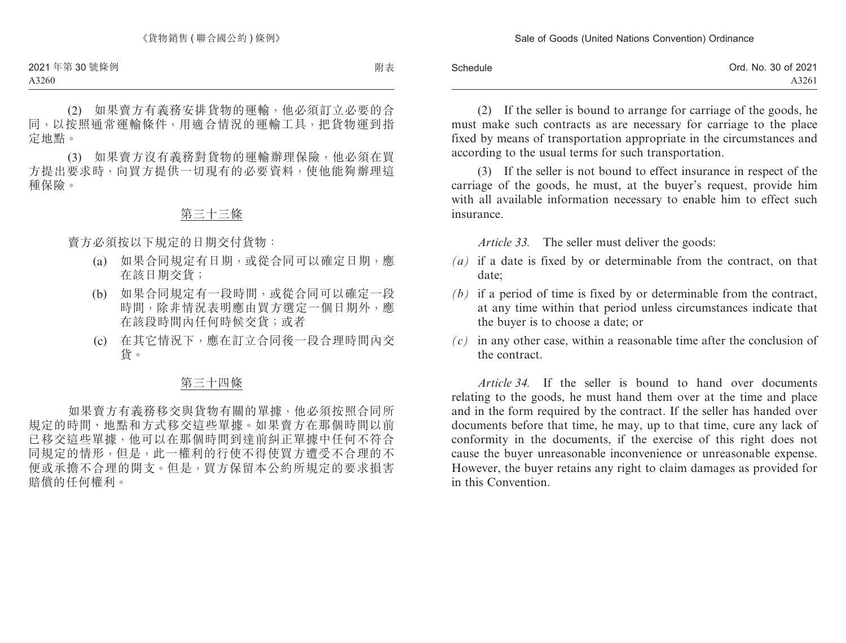| Schedule | Ord. No. 30 of 2021 |
|----------|---------------------|
|          | A3261               |

(2) If the seller is bound to arrange for carriage of the goods, he must make such contracts as are necessary for carriage to the place fixed by means of transportation appropriate in the circumstances and according to the usual terms for such transportation.

(3) If the seller is not bound to effect insurance in respect of the carriage of the goods, he must, at the buyer's request, provide him with all available information necessary to enable him to effect such insurance.

*Article 33.* The seller must deliver the goods:

- *(a)* if a date is fixed by or determinable from the contract, on that date;
- *(b)* if a period of time is fixed by or determinable from the contract, at any time within that period unless circumstances indicate that the buyer is to choose a date; or
- *(c)* in any other case, within a reasonable time after the conclusion of the contract.

*Article 34.* If the seller is bound to hand over documents relating to the goods, he must hand them over at the time and place and in the form required by the contract. If the seller has handed over documents before that time, he may, up to that time, cure any lack of conformity in the documents, if the exercise of this right does not cause the buyer unreasonable inconvenience or unreasonable expense. However, the buyer retains any right to claim damages as provided for in this Convention.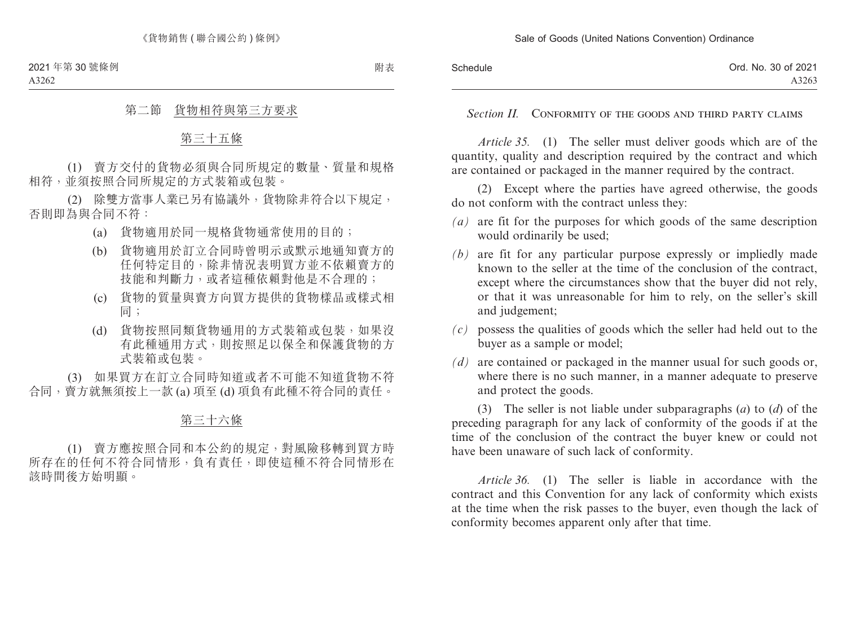| Schedule | Ord. No. 30 of 2021 |
|----------|---------------------|
|          | A3263               |

*Section II.* CONFORMITY OF THE GOODS AND THIRD PARTY CLAIMS

*Article 35.* (1) The seller must deliver goods which are of the quantity, quality and description required by the contract and which are contained or packaged in the manner required by the contract.

(2) Except where the parties have agreed otherwise, the goods do not conform with the contract unless they:

- *(a)* are fit for the purposes for which goods of the same description would ordinarily be used;
- *(b)* are fit for any particular purpose expressly or impliedly made known to the seller at the time of the conclusion of the contract, except where the circumstances show that the buyer did not rely, or that it was unreasonable for him to rely, on the seller's skill and judgement;
- *(c)* possess the qualities of goods which the seller had held out to the buyer as a sample or model;
- *(d)* are contained or packaged in the manner usual for such goods or, where there is no such manner, in a manner adequate to preserve and protect the goods.

(3) The seller is not liable under subparagraphs (*a*) to (*d*) of the preceding paragraph for any lack of conformity of the goods if at the time of the conclusion of the contract the buyer knew or could not have been unaware of such lack of conformity.

*Article 36.* (1) The seller is liable in accordance with the contract and this Convention for any lack of conformity which exists at the time when the risk passes to the buyer, even though the lack of conformity becomes apparent only after that time.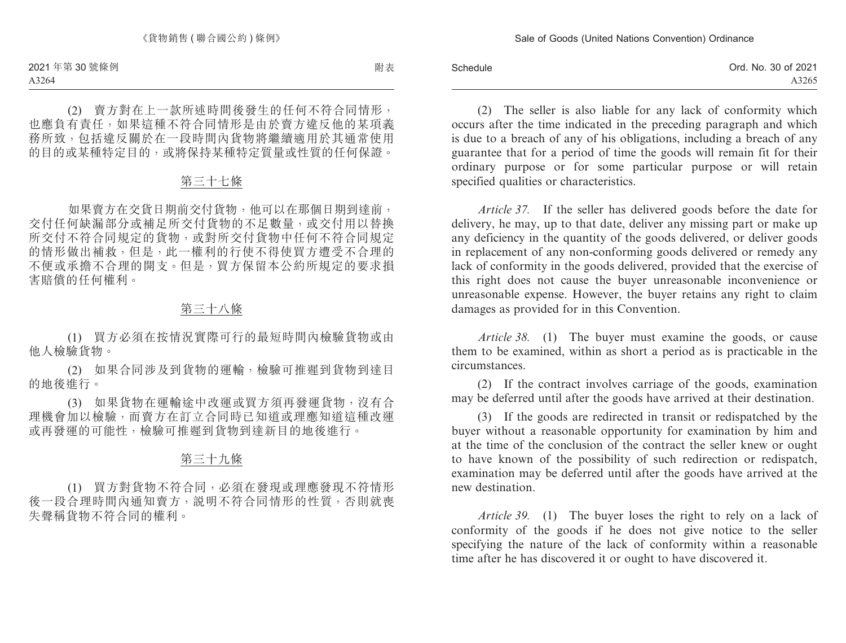| Schedule | Ord. No. 30 of 2021 |
|----------|---------------------|
|          | A3265               |

(2) The seller is also liable for any lack of conformity which occurs after the time indicated in the preceding paragraph and which is due to a breach of any of his obligations, including a breach of any guarantee that for a period of time the goods will remain fit for their ordinary purpose or for some particular purpose or will retain specified qualities or characteristics.

*Article 37.* If the seller has delivered goods before the date for delivery, he may, up to that date, deliver any missing part or make up any deficiency in the quantity of the goods delivered, or deliver goods in replacement of any non-conforming goods delivered or remedy any lack of conformity in the goods delivered, provided that the exercise of this right does not cause the buyer unreasonable inconvenience or unreasonable expense. However, the buyer retains any right to claim damages as provided for in this Convention.

*Article 38.* (1) The buyer must examine the goods, or cause them to be examined, within as short a period as is practicable in the circumstances.

(2) If the contract involves carriage of the goods, examination may be deferred until after the goods have arrived at their destination.

(3) If the goods are redirected in transit or redispatched by the buyer without a reasonable opportunity for examination by him and at the time of the conclusion of the contract the seller knew or ought to have known of the possibility of such redirection or redispatch, examination may be deferred until after the goods have arrived at the new destination.

*Article 39.* (1) The buyer loses the right to rely on a lack of conformity of the goods if he does not give notice to the seller specifying the nature of the lack of conformity within a reasonable time after he has discovered it or ought to have discovered it.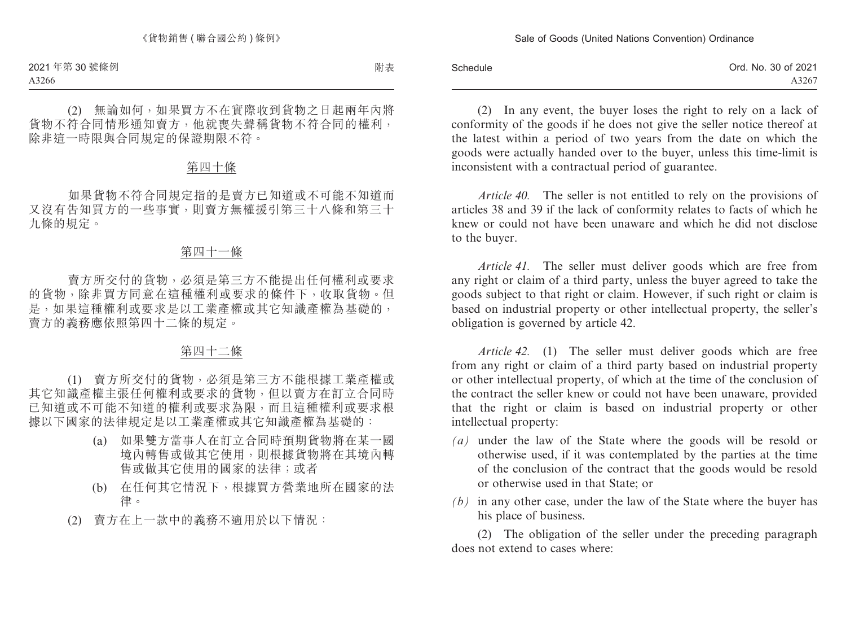| Schedule | Ord. No. 30 of 2021 |
|----------|---------------------|
|          | A3267               |

(2) In any event, the buyer loses the right to rely on a lack of conformity of the goods if he does not give the seller notice thereof at the latest within a period of two years from the date on which the goods were actually handed over to the buyer, unless this time-limit is inconsistent with a contractual period of guarantee.

*Article 40.* The seller is not entitled to rely on the provisions of articles 38 and 39 if the lack of conformity relates to facts of which he knew or could not have been unaware and which he did not disclose to the buyer.

*Article 41.* The seller must deliver goods which are free from any right or claim of a third party, unless the buyer agreed to take the goods subject to that right or claim. However, if such right or claim is based on industrial property or other intellectual property, the seller's obligation is governed by article 42.

*Article 42.* (1) The seller must deliver goods which are free from any right or claim of a third party based on industrial property or other intellectual property, of which at the time of the conclusion of the contract the seller knew or could not have been unaware, provided that the right or claim is based on industrial property or other intellectual property:

- *(a)* under the law of the State where the goods will be resold or otherwise used, if it was contemplated by the parties at the time of the conclusion of the contract that the goods would be resold or otherwise used in that State; or
- *(b)* in any other case, under the law of the State where the buyer has his place of business.

(2) The obligation of the seller under the preceding paragraph does not extend to cases where: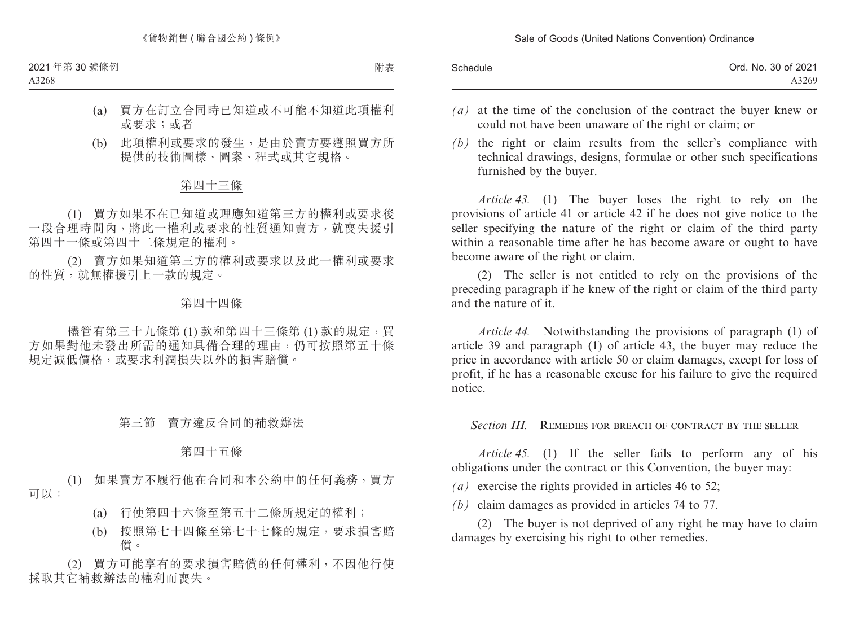Sale of Goods (United Nations Convention) Ordinance

| Schedule | Ord. No. 30 of 2021 |
|----------|---------------------|
|          | A3269               |

- *(a)* at the time of the conclusion of the contract the buyer knew or could not have been unaware of the right or claim; or
- *(b)* the right or claim results from the seller's compliance with technical drawings, designs, formulae or other such specifications furnished by the buyer.

*Article 43.* (1) The buyer loses the right to rely on the provisions of article 41 or article 42 if he does not give notice to the seller specifying the nature of the right or claim of the third party within a reasonable time after he has become aware or ought to have become aware of the right or claim.

(2) The seller is not entitled to rely on the provisions of the preceding paragraph if he knew of the right or claim of the third party and the nature of it.

*Article 44.* Notwithstanding the provisions of paragraph (1) of article 39 and paragraph (1) of article 43, the buyer may reduce the price in accordance with article 50 or claim damages, except for loss of profit, if he has a reasonable excuse for his failure to give the required notice.

*Section III.* REMEDIES FOR BREACH OF CONTRACT BY THE SELLER

*Article 45.* (1) If the seller fails to perform any of his obligations under the contract or this Convention, the buyer may:

- *(a)* exercise the rights provided in articles 46 to 52;
- *(b)* claim damages as provided in articles 74 to 77.

(2) The buyer is not deprived of any right he may have to claim damages by exercising his right to other remedies.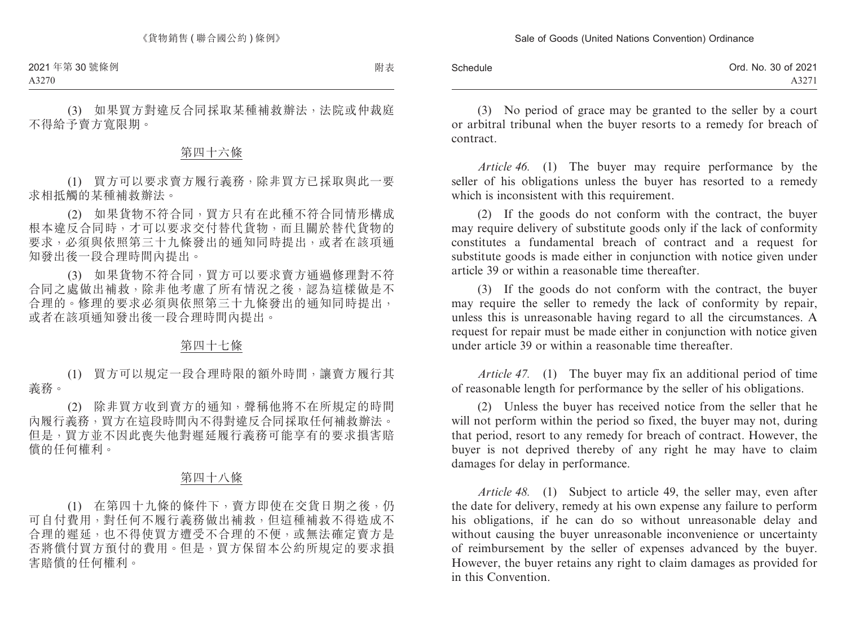| Schedule | Ord. No. 30 of 2021 |
|----------|---------------------|
|          | A3271               |

(3) No period of grace may be granted to the seller by a court or arbitral tribunal when the buyer resorts to a remedy for breach of contract.

*Article 46.* (1) The buyer may require performance by the seller of his obligations unless the buyer has resorted to a remedy which is inconsistent with this requirement.

(2) If the goods do not conform with the contract, the buyer may require delivery of substitute goods only if the lack of conformity constitutes a fundamental breach of contract and a request for substitute goods is made either in conjunction with notice given under article 39 or within a reasonable time thereafter.

(3) If the goods do not conform with the contract, the buyer may require the seller to remedy the lack of conformity by repair, unless this is unreasonable having regard to all the circumstances. A request for repair must be made either in conjunction with notice given under article 39 or within a reasonable time thereafter.

*Article 47.* (1) The buyer may fix an additional period of time of reasonable length for performance by the seller of his obligations.

(2) Unless the buyer has received notice from the seller that he will not perform within the period so fixed, the buyer may not, during that period, resort to any remedy for breach of contract. However, the buyer is not deprived thereby of any right he may have to claim damages for delay in performance.

*Article 48.* (1) Subject to article 49, the seller may, even after the date for delivery, remedy at his own expense any failure to perform his obligations, if he can do so without unreasonable delay and without causing the buyer unreasonable inconvenience or uncertainty of reimbursement by the seller of expenses advanced by the buyer. However, the buyer retains any right to claim damages as provided for in this Convention.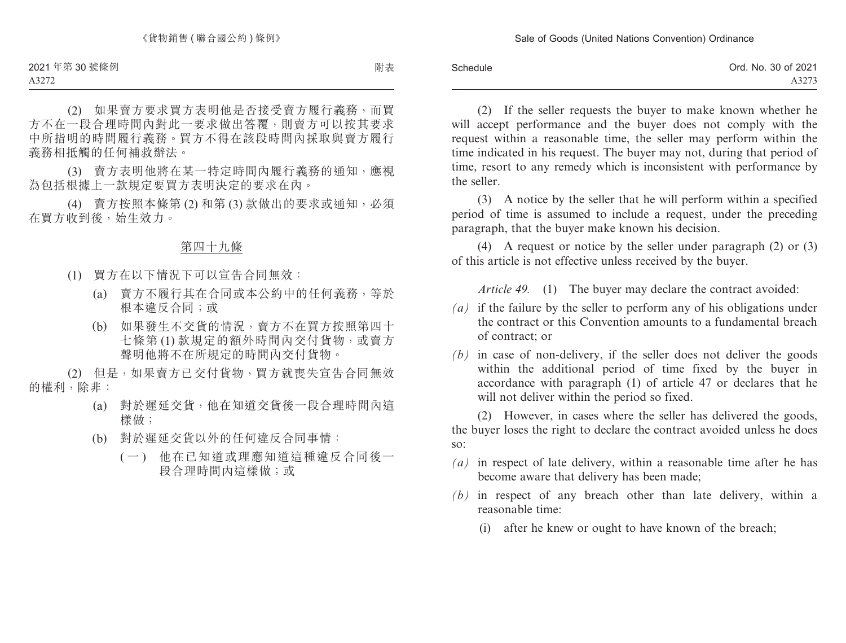| Schedule | Ord. No. 30 of 2021 |
|----------|---------------------|
|          | A3273               |

(2) If the seller requests the buyer to make known whether he will accept performance and the buyer does not comply with the request within a reasonable time, the seller may perform within the time indicated in his request. The buyer may not, during that period of time, resort to any remedy which is inconsistent with performance by the seller.

(3) A notice by the seller that he will perform within a specified period of time is assumed to include a request, under the preceding paragraph, that the buyer make known his decision.

(4) A request or notice by the seller under paragraph (2) or (3) of this article is not effective unless received by the buyer.

*Article 49.* (1) The buyer may declare the contract avoided:

- *(a)* if the failure by the seller to perform any of his obligations under the contract or this Convention amounts to a fundamental breach of contract; or
- *(b)* in case of non-delivery, if the seller does not deliver the goods within the additional period of time fixed by the buyer in accordance with paragraph (1) of article 47 or declares that he will not deliver within the period so fixed.

(2) However, in cases where the seller has delivered the goods, the buyer loses the right to declare the contract avoided unless he does so:

- *(a)* in respect of late delivery, within a reasonable time after he has become aware that delivery has been made;
- *(b)* in respect of any breach other than late delivery, within a reasonable time:
	- (i) after he knew or ought to have known of the breach;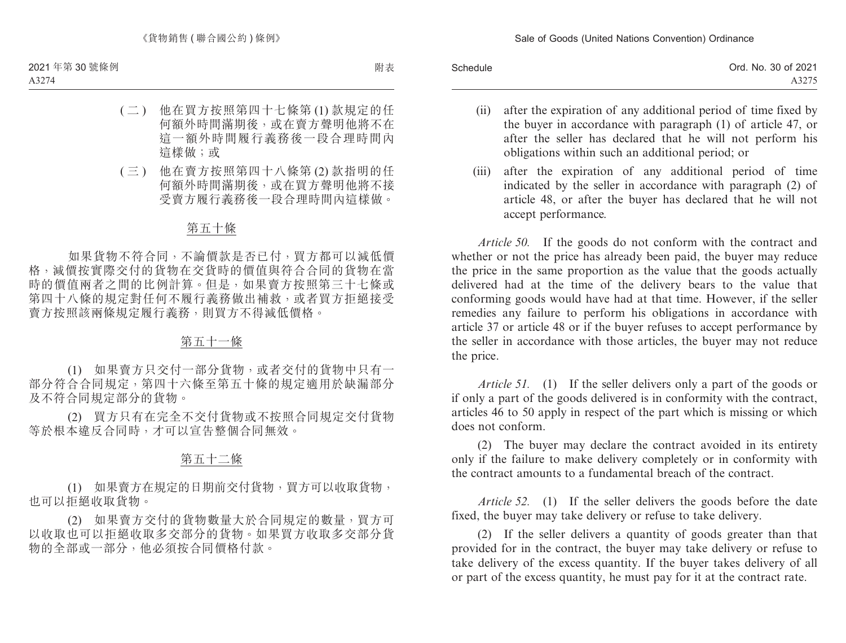| Schedule | Ord. No. 30 of 2021 |
|----------|---------------------|
|          | A3275               |

- (ii) after the expiration of any additional period of time fixed by the buyer in accordance with paragraph (1) of article 47, or after the seller has declared that he will not perform his obligations within such an additional period; or
- (iii) after the expiration of any additional period of time indicated by the seller in accordance with paragraph (2) of article 48, or after the buyer has declared that he will not accept performance.

*Article 50.* If the goods do not conform with the contract and whether or not the price has already been paid, the buyer may reduce the price in the same proportion as the value that the goods actually delivered had at the time of the delivery bears to the value that conforming goods would have had at that time. However, if the seller remedies any failure to perform his obligations in accordance with article 37 or article 48 or if the buyer refuses to accept performance by the seller in accordance with those articles, the buyer may not reduce the price.

*Article 51.* (1) If the seller delivers only a part of the goods or if only a part of the goods delivered is in conformity with the contract, articles 46 to 50 apply in respect of the part which is missing or which does not conform.

(2) The buyer may declare the contract avoided in its entirety only if the failure to make delivery completely or in conformity with the contract amounts to a fundamental breach of the contract.

*Article 52.* (1) If the seller delivers the goods before the date fixed, the buyer may take delivery or refuse to take delivery.

(2) If the seller delivers a quantity of goods greater than that provided for in the contract, the buyer may take delivery or refuse to take delivery of the excess quantity. If the buyer takes delivery of all or part of the excess quantity, he must pay for it at the contract rate.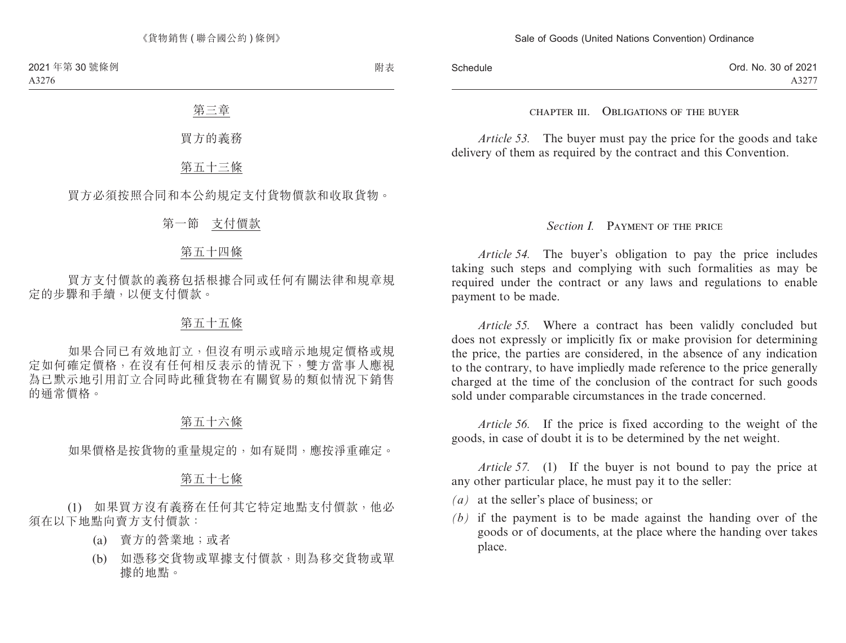| Schedule | Ord. No. 30 of 2021 |
|----------|---------------------|
|          | A3277               |

#### chapter iii. Obligations of the buyer

*Article 53.* The buyer must pay the price for the goods and take delivery of them as required by the contract and this Convention.

### *Section I.* Payment of the price

*Article 54.* The buyer's obligation to pay the price includes taking such steps and complying with such formalities as may be required under the contract or any laws and regulations to enable payment to be made.

*Article 55.* Where a contract has been validly concluded but does not expressly or implicitly fix or make provision for determining the price, the parties are considered, in the absence of any indication to the contrary, to have impliedly made reference to the price generally charged at the time of the conclusion of the contract for such goods sold under comparable circumstances in the trade concerned.

*Article 56.* If the price is fixed according to the weight of the goods, in case of doubt it is to be determined by the net weight.

*Article 57.* (1) If the buyer is not bound to pay the price at any other particular place, he must pay it to the seller:

- *(a)* at the seller's place of business; or
- *(b)* if the payment is to be made against the handing over of the goods or of documents, at the place where the handing over takes place.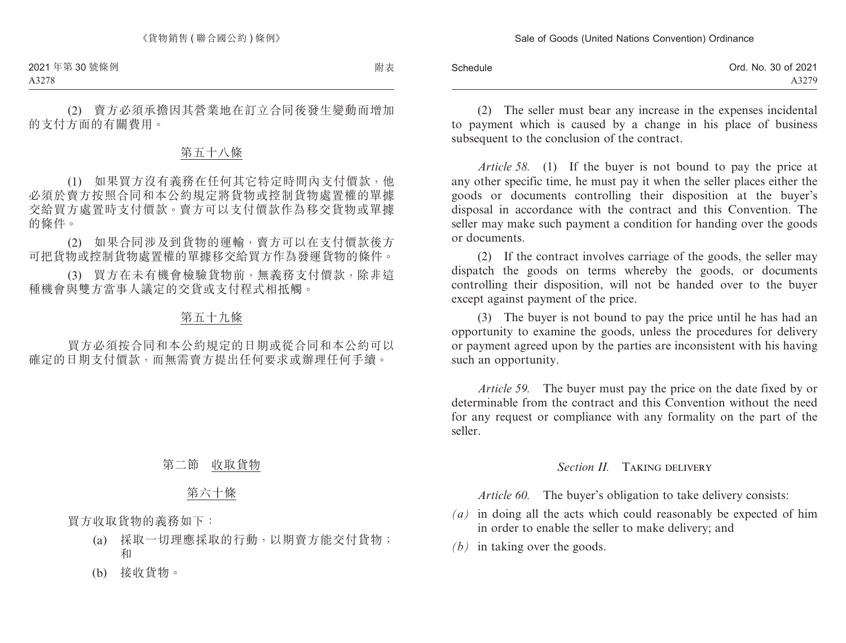| Schedule | Ord. No. 30 of 2021 |
|----------|---------------------|
|          | A3279               |

(2) The seller must bear any increase in the expenses incidental to payment which is caused by a change in his place of business subsequent to the conclusion of the contract.

*Article 58.* (1) If the buyer is not bound to pay the price at any other specific time, he must pay it when the seller places either the goods or documents controlling their disposition at the buyer's disposal in accordance with the contract and this Convention. The seller may make such payment a condition for handing over the goods or documents.

(2) If the contract involves carriage of the goods, the seller may dispatch the goods on terms whereby the goods, or documents controlling their disposition, will not be handed over to the buyer except against payment of the price.

(3) The buyer is not bound to pay the price until he has had an opportunity to examine the goods, unless the procedures for delivery or payment agreed upon by the parties are inconsistent with his having such an opportunity.

*Article 59.* The buyer must pay the price on the date fixed by or determinable from the contract and this Convention without the need for any request or compliance with any formality on the part of the seller.

### Section II. TAKING DELIVERY

*Article 60.* The buyer's obligation to take delivery consists:

- *(a)* in doing all the acts which could reasonably be expected of him in order to enable the seller to make delivery; and
- *(b)* in taking over the goods.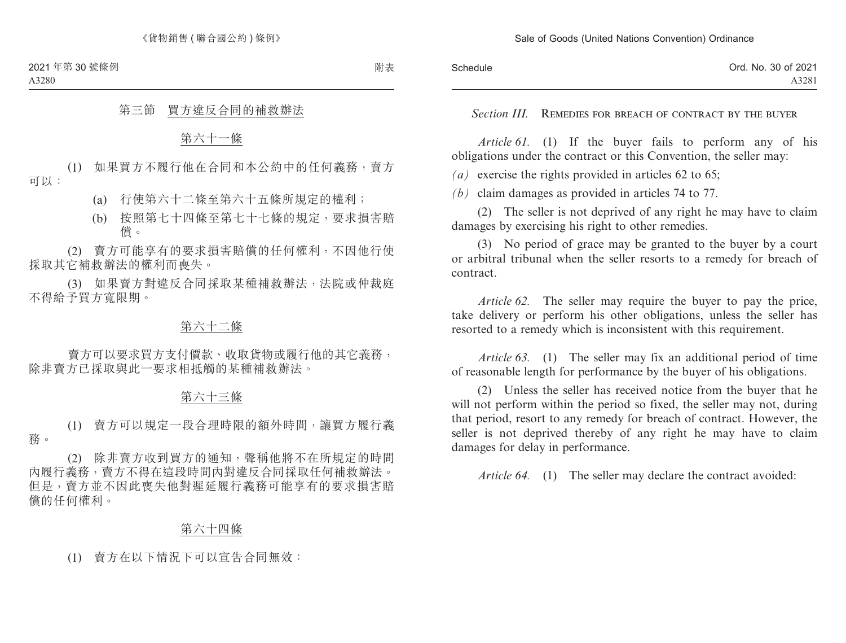| Schedule | Ord. No. 30 of 2021 |
|----------|---------------------|
|          | A3281               |

*Section III.* REMEDIES FOR BREACH OF CONTRACT BY THE BUYER

*Article 61.* (1) If the buyer fails to perform any of his obligations under the contract or this Convention, the seller may:

*(a)* exercise the rights provided in articles 62 to 65;

*(b)* claim damages as provided in articles 74 to 77.

(2) The seller is not deprived of any right he may have to claim damages by exercising his right to other remedies.

(3) No period of grace may be granted to the buyer by a court or arbitral tribunal when the seller resorts to a remedy for breach of contract.

*Article 62.* The seller may require the buyer to pay the price, take delivery or perform his other obligations, unless the seller has resorted to a remedy which is inconsistent with this requirement.

*Article 63.* (1) The seller may fix an additional period of time of reasonable length for performance by the buyer of his obligations.

(2) Unless the seller has received notice from the buyer that he will not perform within the period so fixed, the seller may not, during that period, resort to any remedy for breach of contract. However, the seller is not deprived thereby of any right he may have to claim damages for delay in performance.

*Article 64.* (1) The seller may declare the contract avoided: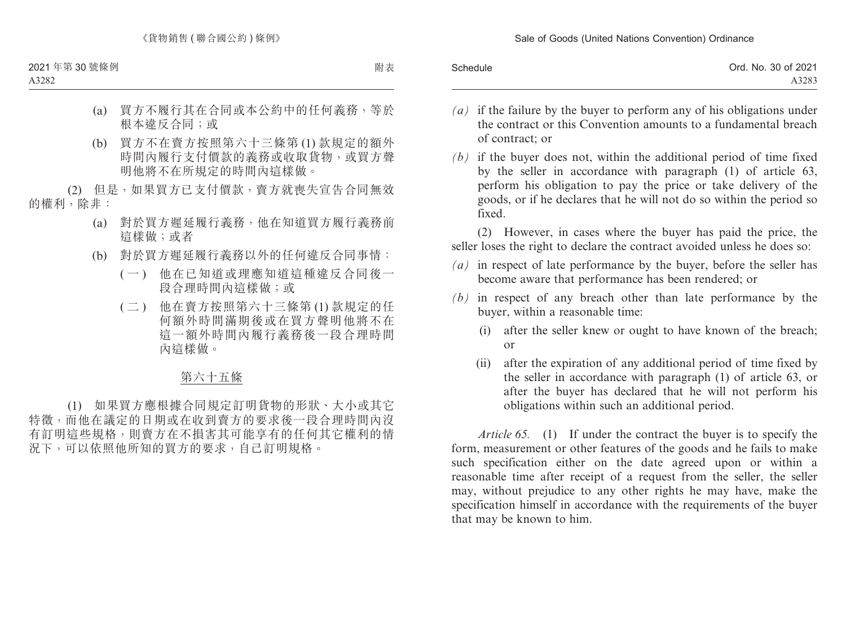Sale of Goods (United Nations Convention) Ordinance

| Schedule | Ord. No. 30 of 2021 |
|----------|---------------------|
|          | A3283               |

- *(a)* if the failure by the buyer to perform any of his obligations under the contract or this Convention amounts to a fundamental breach of contract; or
- *(b)* if the buyer does not, within the additional period of time fixed by the seller in accordance with paragraph (1) of article 63, perform his obligation to pay the price or take delivery of the goods, or if he declares that he will not do so within the period so fixed.

(2) However, in cases where the buyer has paid the price, the seller loses the right to declare the contract avoided unless he does so:

- *(a)* in respect of late performance by the buyer, before the seller has become aware that performance has been rendered; or
- *(b)* in respect of any breach other than late performance by the buyer, within a reasonable time:
	- (i) after the seller knew or ought to have known of the breach; or
	- (ii) after the expiration of any additional period of time fixed by the seller in accordance with paragraph (1) of article 63, or after the buyer has declared that he will not perform his obligations within such an additional period.

*Article 65.* (1) If under the contract the buyer is to specify the form, measurement or other features of the goods and he fails to make such specification either on the date agreed upon or within a reasonable time after receipt of a request from the seller, the seller may, without prejudice to any other rights he may have, make the specification himself in accordance with the requirements of the buyer that may be known to him.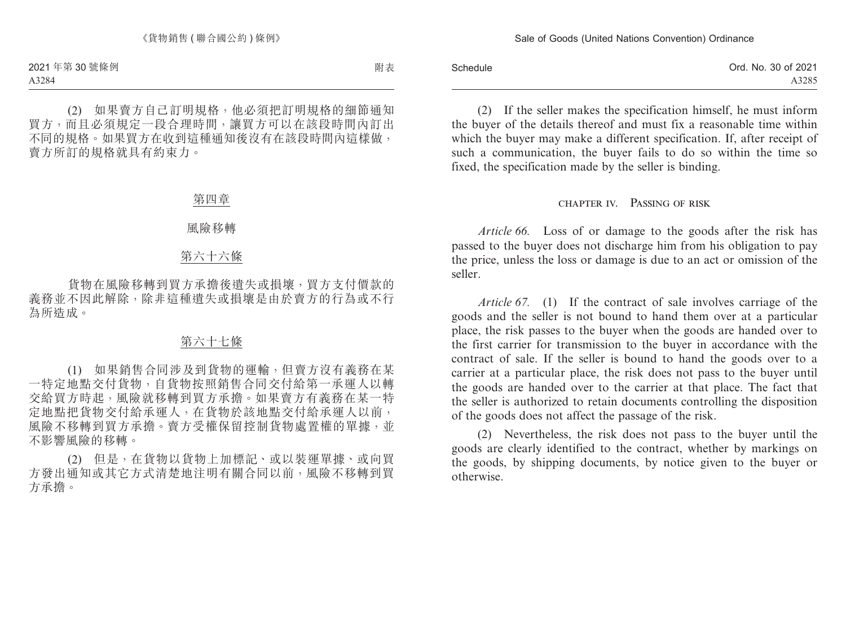| Schedule | Ord. No. 30 of 2021 |
|----------|---------------------|
|          | A3285               |

(2) If the seller makes the specification himself, he must inform the buyer of the details thereof and must fix a reasonable time within which the buyer may make a different specification. If, after receipt of such a communication, the buyer fails to do so within the time so fixed, the specification made by the seller is binding.

#### chapter iv. Passing of risk

*Article 66.* Loss of or damage to the goods after the risk has passed to the buyer does not discharge him from his obligation to pay the price, unless the loss or damage is due to an act or omission of the seller.

*Article 67.* (1) If the contract of sale involves carriage of the goods and the seller is not bound to hand them over at a particular place, the risk passes to the buyer when the goods are handed over to the first carrier for transmission to the buyer in accordance with the contract of sale. If the seller is bound to hand the goods over to a carrier at a particular place, the risk does not pass to the buyer until the goods are handed over to the carrier at that place. The fact that the seller is authorized to retain documents controlling the disposition of the goods does not affect the passage of the risk.

(2) Nevertheless, the risk does not pass to the buyer until the goods are clearly identified to the contract, whether by markings on the goods, by shipping documents, by notice given to the buyer or otherwise.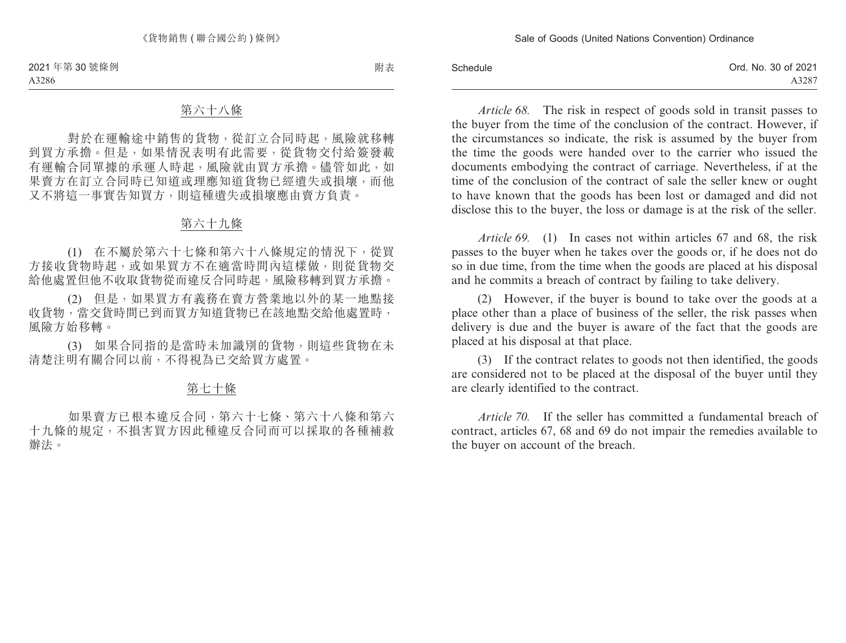| Schedule | Ord. No. 30 of 2021 |
|----------|---------------------|
|          | A3287               |

*Article 68.* The risk in respect of goods sold in transit passes to the buyer from the time of the conclusion of the contract. However, if the circumstances so indicate, the risk is assumed by the buyer from the time the goods were handed over to the carrier who issued the documents embodying the contract of carriage. Nevertheless, if at the time of the conclusion of the contract of sale the seller knew or ought to have known that the goods has been lost or damaged and did not disclose this to the buyer, the loss or damage is at the risk of the seller.

*Article 69.* (1) In cases not within articles 67 and 68, the risk passes to the buyer when he takes over the goods or, if he does not do so in due time, from the time when the goods are placed at his disposal and he commits a breach of contract by failing to take delivery.

(2) However, if the buyer is bound to take over the goods at a place other than a place of business of the seller, the risk passes when delivery is due and the buyer is aware of the fact that the goods are placed at his disposal at that place.

(3) If the contract relates to goods not then identified, the goods are considered not to be placed at the disposal of the buyer until they are clearly identified to the contract.

*Article 70.* If the seller has committed a fundamental breach of contract, articles 67, 68 and 69 do not impair the remedies available to the buyer on account of the breach.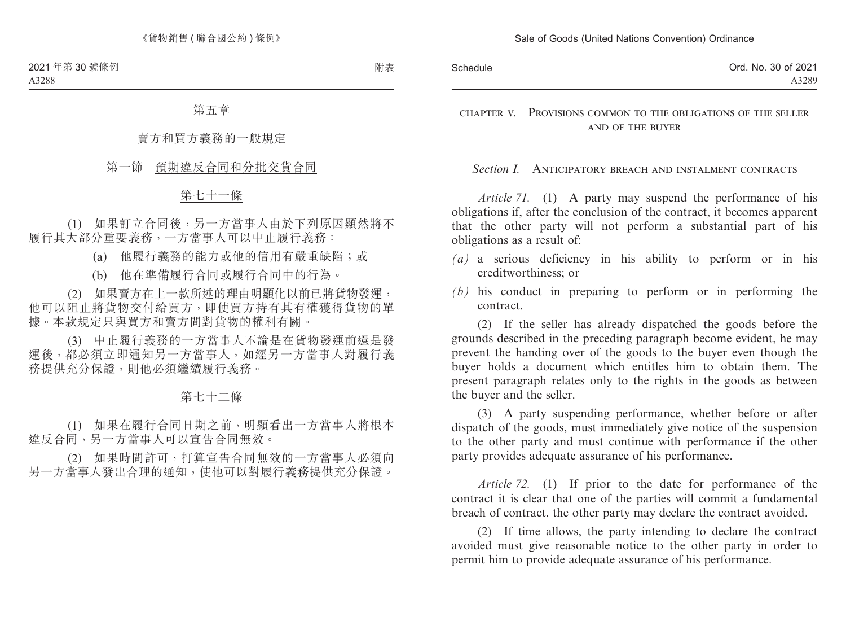### chapter v. Provisions common to the obligations of the seller and of the buyer

### *Section I.* Anticipatory breach and instalment contracts

*Article 71.* (1) A party may suspend the performance of his obligations if, after the conclusion of the contract, it becomes apparent that the other party will not perform a substantial part of his obligations as a result of:

- *(a)* a serious deficiency in his ability to perform or in his creditworthiness; or
- *(b)* his conduct in preparing to perform or in performing the contract.

(2) If the seller has already dispatched the goods before the grounds described in the preceding paragraph become evident, he may prevent the handing over of the goods to the buyer even though the buyer holds a document which entitles him to obtain them. The present paragraph relates only to the rights in the goods as between the buyer and the seller.

(3) A party suspending performance, whether before or after dispatch of the goods, must immediately give notice of the suspension to the other party and must continue with performance if the other party provides adequate assurance of his performance.

*Article 72.* (1) If prior to the date for performance of the contract it is clear that one of the parties will commit a fundamental breach of contract, the other party may declare the contract avoided.

(2) If time allows, the party intending to declare the contract avoided must give reasonable notice to the other party in order to permit him to provide adequate assurance of his performance.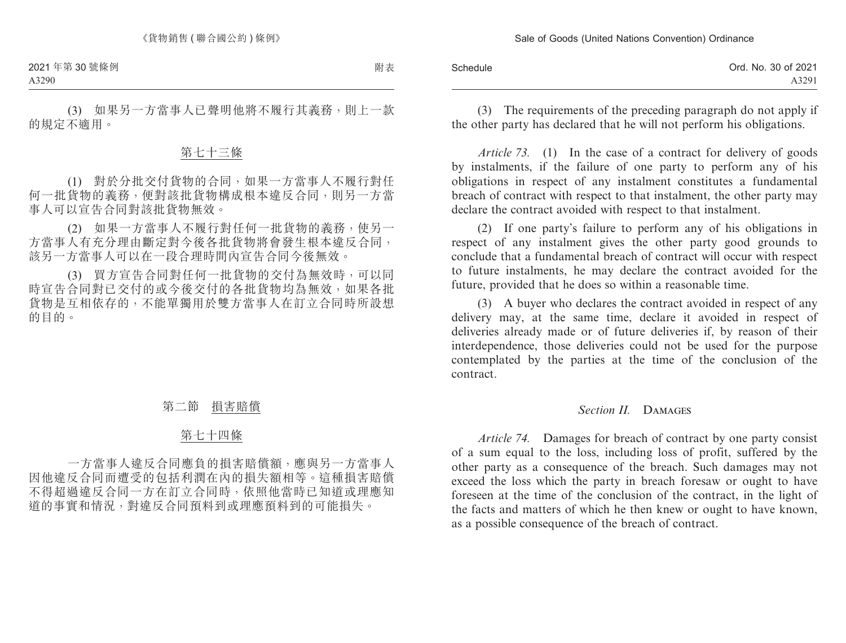| Schedule | Ord. No. 30 of 2021 |
|----------|---------------------|
|          | A3291               |

(3) The requirements of the preceding paragraph do not apply if the other party has declared that he will not perform his obligations.

*Article 73.* (1) In the case of a contract for delivery of goods by instalments, if the failure of one party to perform any of his obligations in respect of any instalment constitutes a fundamental breach of contract with respect to that instalment, the other party may declare the contract avoided with respect to that instalment.

(2) If one party's failure to perform any of his obligations in respect of any instalment gives the other party good grounds to conclude that a fundamental breach of contract will occur with respect to future instalments, he may declare the contract avoided for the future, provided that he does so within a reasonable time.

(3) A buyer who declares the contract avoided in respect of any delivery may, at the same time, declare it avoided in respect of deliveries already made or of future deliveries if, by reason of their interdependence, those deliveries could not be used for the purpose contemplated by the parties at the time of the conclusion of the contract.

# *Section II.* Damages

*Article 74.* Damages for breach of contract by one party consist of a sum equal to the loss, including loss of profit, suffered by the other party as a consequence of the breach. Such damages may not exceed the loss which the party in breach foresaw or ought to have foreseen at the time of the conclusion of the contract, in the light of the facts and matters of which he then knew or ought to have known, as a possible consequence of the breach of contract.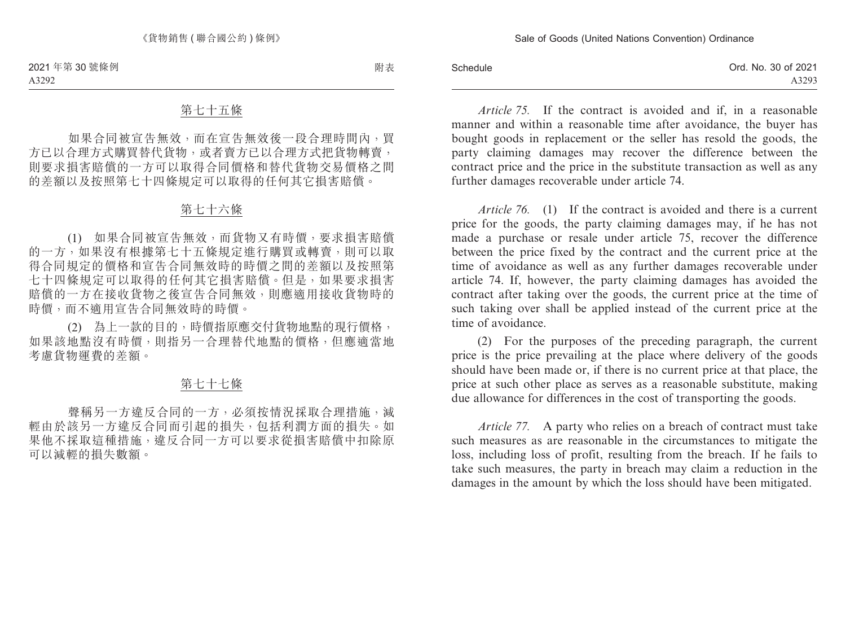Ord. No. 30 of 2021 A3293 Schedule

*Article 75.* If the contract is avoided and if, in a reasonable manner and within a reasonable time after avoidance, the buyer has bought goods in replacement or the seller has resold the goods, the party claiming damages may recover the difference between the contract price and the price in the substitute transaction as well as any further damages recoverable under article 74.

*Article 76.* (1) If the contract is avoided and there is a current price for the goods, the party claiming damages may, if he has not made a purchase or resale under article 75, recover the difference between the price fixed by the contract and the current price at the time of avoidance as well as any further damages recoverable under article 74. If, however, the party claiming damages has avoided the contract after taking over the goods, the current price at the time of such taking over shall be applied instead of the current price at the time of avoidance.

(2) For the purposes of the preceding paragraph, the current price is the price prevailing at the place where delivery of the goods should have been made or, if there is no current price at that place, the price at such other place as serves as a reasonable substitute, making due allowance for differences in the cost of transporting the goods.

*Article 77.* A party who relies on a breach of contract must take such measures as are reasonable in the circumstances to mitigate the loss, including loss of profit, resulting from the breach. If he fails to take such measures, the party in breach may claim a reduction in the damages in the amount by which the loss should have been mitigated.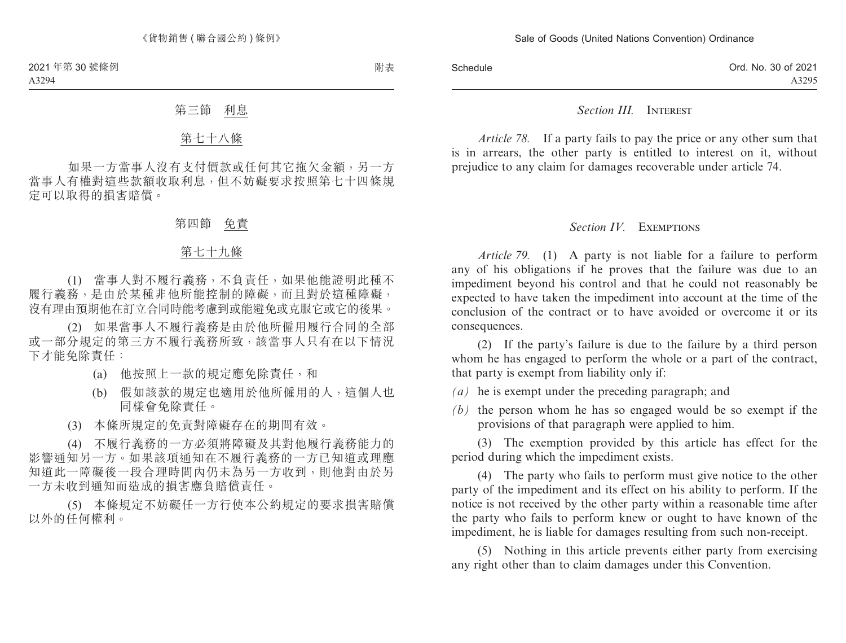| Schedule | Ord. No. 30 of 2021 |
|----------|---------------------|
|          | A3295               |

#### *Section III.* Interest

*Article 78.* If a party fails to pay the price or any other sum that is in arrears, the other party is entitled to interest on it, without prejudice to any claim for damages recoverable under article 74.

### *Section IV.* Exemptions

*Article 79.* (1) A party is not liable for a failure to perform any of his obligations if he proves that the failure was due to an impediment beyond his control and that he could not reasonably be expected to have taken the impediment into account at the time of the conclusion of the contract or to have avoided or overcome it or its consequences.

(2) If the party's failure is due to the failure by a third person whom he has engaged to perform the whole or a part of the contract, that party is exempt from liability only if:

*(a)* he is exempt under the preceding paragraph; and

*(b)* the person whom he has so engaged would be so exempt if the provisions of that paragraph were applied to him.

(3) The exemption provided by this article has effect for the period during which the impediment exists.

(4) The party who fails to perform must give notice to the other party of the impediment and its effect on his ability to perform. If the notice is not received by the other party within a reasonable time after the party who fails to perform knew or ought to have known of the impediment, he is liable for damages resulting from such non-receipt.

(5) Nothing in this article prevents either party from exercising any right other than to claim damages under this Convention.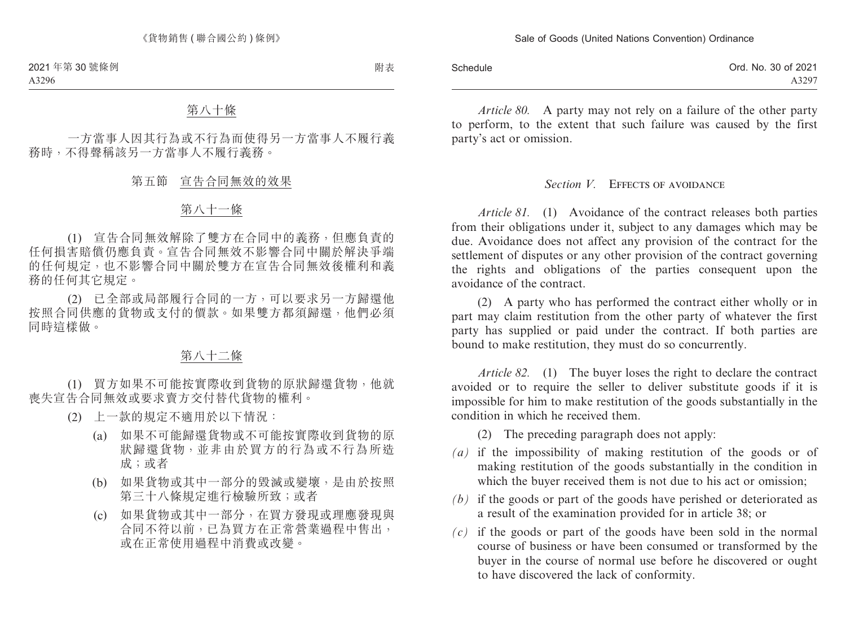| Schedule | Ord. No. 30 of 2021 |
|----------|---------------------|
|          | A3297               |

*Article 80.* A party may not rely on a failure of the other party to perform, to the extent that such failure was caused by the first party's act or omission.

### *Section V.* EFFECTS OF AVOIDANCE

*Article 81.* (1) Avoidance of the contract releases both parties from their obligations under it, subject to any damages which may be due. Avoidance does not affect any provision of the contract for the settlement of disputes or any other provision of the contract governing the rights and obligations of the parties consequent upon the avoidance of the contract.

(2) A party who has performed the contract either wholly or in part may claim restitution from the other party of whatever the first party has supplied or paid under the contract. If both parties are bound to make restitution, they must do so concurrently.

*Article 82.* (1) The buyer loses the right to declare the contract avoided or to require the seller to deliver substitute goods if it is impossible for him to make restitution of the goods substantially in the condition in which he received them.

(2) The preceding paragraph does not apply:

- *(a)* if the impossibility of making restitution of the goods or of making restitution of the goods substantially in the condition in which the buyer received them is not due to his act or omission;
- *(b)* if the goods or part of the goods have perished or deteriorated as a result of the examination provided for in article 38; or
- *(c)* if the goods or part of the goods have been sold in the normal course of business or have been consumed or transformed by the buyer in the course of normal use before he discovered or ought to have discovered the lack of conformity.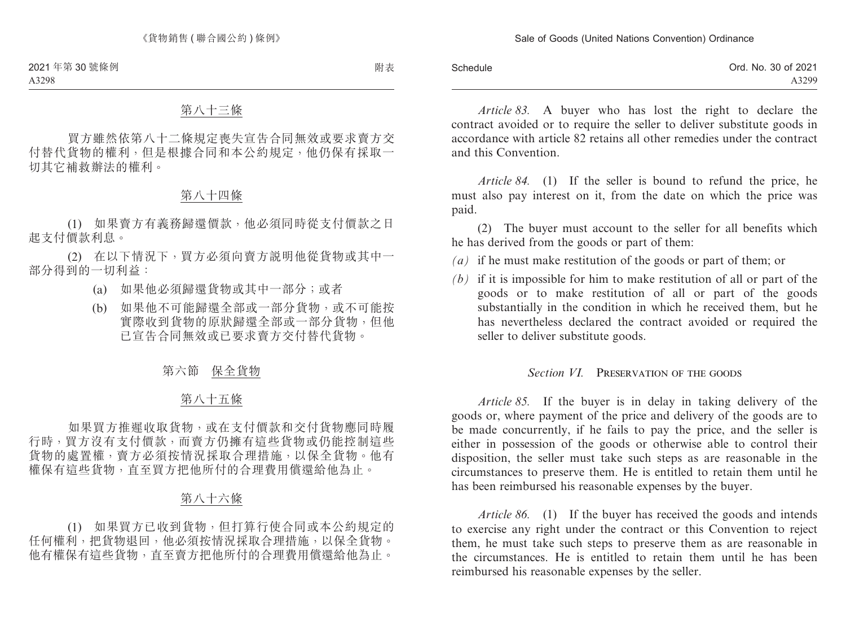| Schedule | Ord. No. 30 of 2021 |
|----------|---------------------|
|          | A3299               |

*Article 83.* A buyer who has lost the right to declare the contract avoided or to require the seller to deliver substitute goods in accordance with article 82 retains all other remedies under the contract and this Convention.

*Article 84.* (1) If the seller is bound to refund the price, he must also pay interest on it, from the date on which the price was paid.

(2) The buyer must account to the seller for all benefits which he has derived from the goods or part of them:

- *(a)* if he must make restitution of the goods or part of them; or
- *(b)* if it is impossible for him to make restitution of all or part of the goods or to make restitution of all or part of the goods substantially in the condition in which he received them, but he has nevertheless declared the contract avoided or required the seller to deliver substitute goods.

#### *Section VI.* PRESERVATION OF THE GOODS

*Article 85.* If the buyer is in delay in taking delivery of the goods or, where payment of the price and delivery of the goods are to be made concurrently, if he fails to pay the price, and the seller is either in possession of the goods or otherwise able to control their disposition, the seller must take such steps as are reasonable in the circumstances to preserve them. He is entitled to retain them until he has been reimbursed his reasonable expenses by the buyer.

*Article 86.* (1) If the buyer has received the goods and intends to exercise any right under the contract or this Convention to reject them, he must take such steps to preserve them as are reasonable in the circumstances. He is entitled to retain them until he has been reimbursed his reasonable expenses by the seller.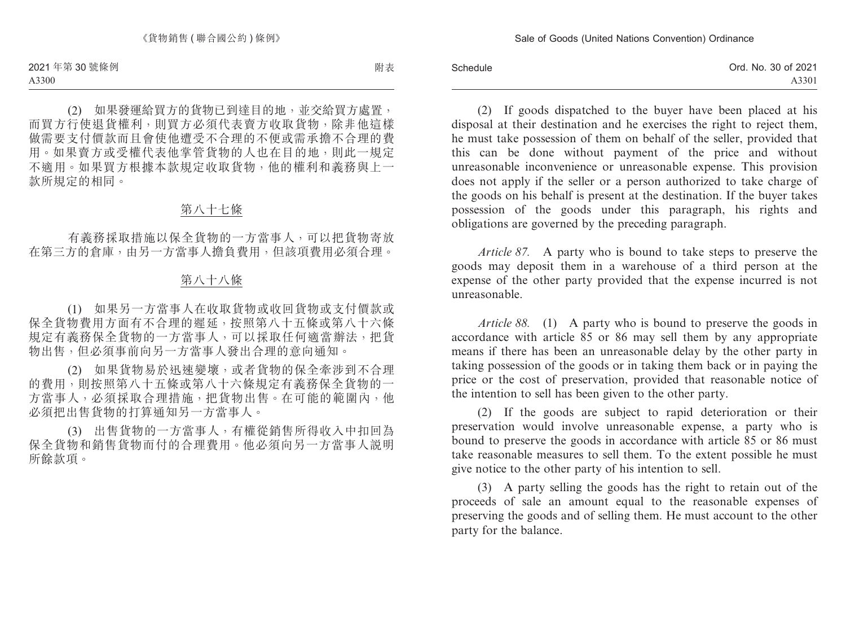Ord. No. 30 of 2021 A3301 Schedule

(2) If goods dispatched to the buyer have been placed at his disposal at their destination and he exercises the right to reject them, he must take possession of them on behalf of the seller, provided that this can be done without payment of the price and without unreasonable inconvenience or unreasonable expense. This provision does not apply if the seller or a person authorized to take charge of the goods on his behalf is present at the destination. If the buyer takes possession of the goods under this paragraph, his rights and obligations are governed by the preceding paragraph.

*Article 87.* A party who is bound to take steps to preserve the goods may deposit them in a warehouse of a third person at the expense of the other party provided that the expense incurred is not unreasonable.

*Article 88.* (1) A party who is bound to preserve the goods in accordance with article 85 or 86 may sell them by any appropriate means if there has been an unreasonable delay by the other party in taking possession of the goods or in taking them back or in paying the price or the cost of preservation, provided that reasonable notice of the intention to sell has been given to the other party.

(2) If the goods are subject to rapid deterioration or their preservation would involve unreasonable expense, a party who is bound to preserve the goods in accordance with article  $85$  or  $86$  must take reasonable measures to sell them. To the extent possible he must give notice to the other party of his intention to sell.

(3) A party selling the goods has the right to retain out of the proceeds of sale an amount equal to the reasonable expenses of preserving the goods and of selling them. He must account to the other party for the balance.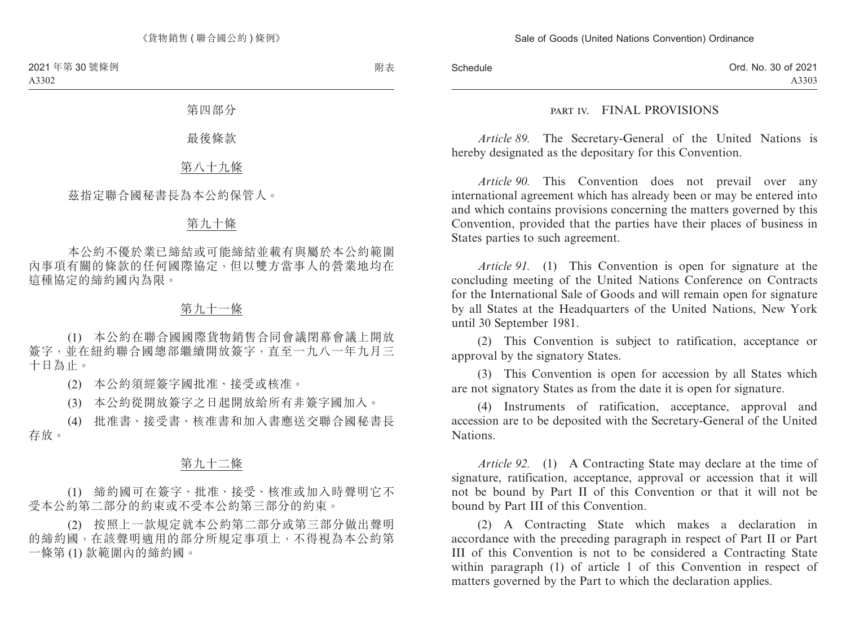Schedule

Ord. No. 30 of 2021 A3303

## part iv. FINAL PROVISIONS

*Article 89.* The Secretary-General of the United Nations is hereby designated as the depositary for this Convention.

*Article 90.* This Convention does not prevail over any international agreement which has already been or may be entered into and which contains provisions concerning the matters governed by this Convention, provided that the parties have their places of business in States parties to such agreement.

*Article 91.* (1) This Convention is open for signature at the concluding meeting of the United Nations Conference on Contracts for the International Sale of Goods and will remain open for signature by all States at the Headquarters of the United Nations, New York until 30 September 1981.

(2) This Convention is subject to ratification, acceptance or approval by the signatory States.

(3) This Convention is open for accession by all States which are not signatory States as from the date it is open for signature.

(4) Instruments of ratification, acceptance, approval and accession are to be deposited with the Secretary-General of the United Nations.

*Article 92.* (1) A Contracting State may declare at the time of signature, ratification, acceptance, approval or accession that it will not be bound by Part II of this Convention or that it will not be bound by Part III of this Convention.

(2) A Contracting State which makes a declaration in accordance with the preceding paragraph in respect of Part II or Part III of this Convention is not to be considered a Contracting State within paragraph (1) of article 1 of this Convention in respect of matters governed by the Part to which the declaration applies.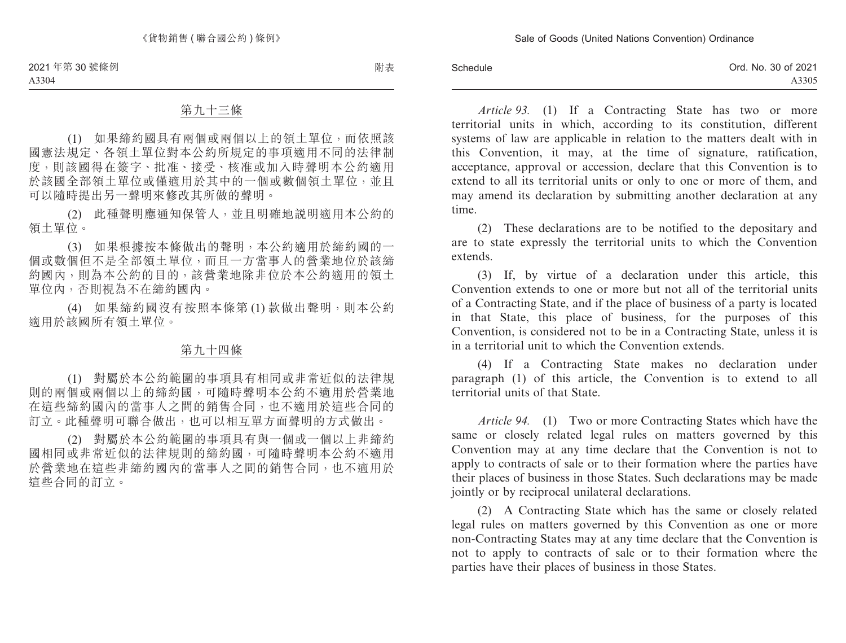Schedule

Ord. No. 30 of 2021 A3305

*Article 93.* (1) If a Contracting State has two or more territorial units in which, according to its constitution, different systems of law are applicable in relation to the matters dealt with in this Convention, it may, at the time of signature, ratification, acceptance, approval or accession, declare that this Convention is to extend to all its territorial units or only to one or more of them, and may amend its declaration by submitting another declaration at any time.

(2) These declarations are to be notified to the depositary and are to state expressly the territorial units to which the Convention extends.

(3) If, by virtue of a declaration under this article, this Convention extends to one or more but not all of the territorial units of a Contracting State, and if the place of business of a party is located in that State, this place of business, for the purposes of this Convention, is considered not to be in a Contracting State, unless it is in a territorial unit to which the Convention extends.

(4) If a Contracting State makes no declaration under paragraph (1) of this article, the Convention is to extend to all territorial units of that State.

*Article 94.* (1) Two or more Contracting States which have the same or closely related legal rules on matters governed by this Convention may at any time declare that the Convention is not to apply to contracts of sale or to their formation where the parties have their places of business in those States. Such declarations may be made jointly or by reciprocal unilateral declarations.

(2) A Contracting State which has the same or closely related legal rules on matters governed by this Convention as one or more non-Contracting States may at any time declare that the Convention is not to apply to contracts of sale or to their formation where the parties have their places of business in those States.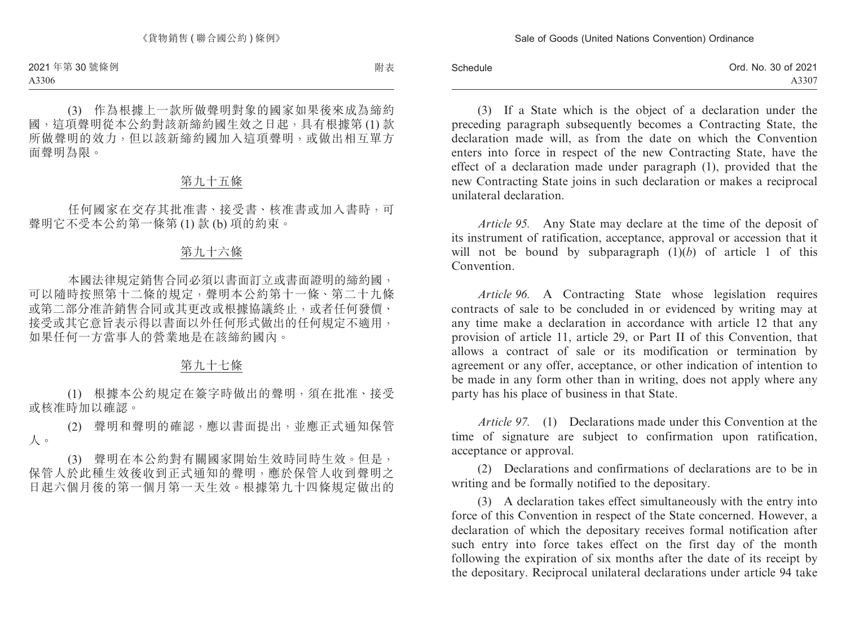| Schedule | Ord. No. 30 of 2021 |
|----------|---------------------|
|          | A3307               |

(3) If a State which is the object of a declaration under the preceding paragraph subsequently becomes a Contracting State, the declaration made will, as from the date on which the Convention enters into force in respect of the new Contracting State, have the effect of a declaration made under paragraph (1), provided that the new Contracting State joins in such declaration or makes a reciprocal unilateral declaration.

*Article 95.* Any State may declare at the time of the deposit of its instrument of ratification, acceptance, approval or accession that it will not be bound by subparagraph  $(1)(b)$  of article 1 of this Convention.

*Article 96.* A Contracting State whose legislation requires contracts of sale to be concluded in or evidenced by writing may at any time make a declaration in accordance with article 12 that any provision of article 11, article 29, or Part II of this Convention, that allows a contract of sale or its modification or termination by agreement or any offer, acceptance, or other indication of intention to be made in any form other than in writing, does not apply where any party has his place of business in that State.

*Article 97.* (1) Declarations made under this Convention at the time of signature are subject to confirmation upon ratification, acceptance or approval.

(2) Declarations and confirmations of declarations are to be in writing and be formally notified to the depositary.

(3) A declaration takes effect simultaneously with the entry into force of this Convention in respect of the State concerned. However, a declaration of which the depositary receives formal notification after such entry into force takes effect on the first day of the month following the expiration of six months after the date of its receipt by the depositary. Reciprocal unilateral declarations under article 94 take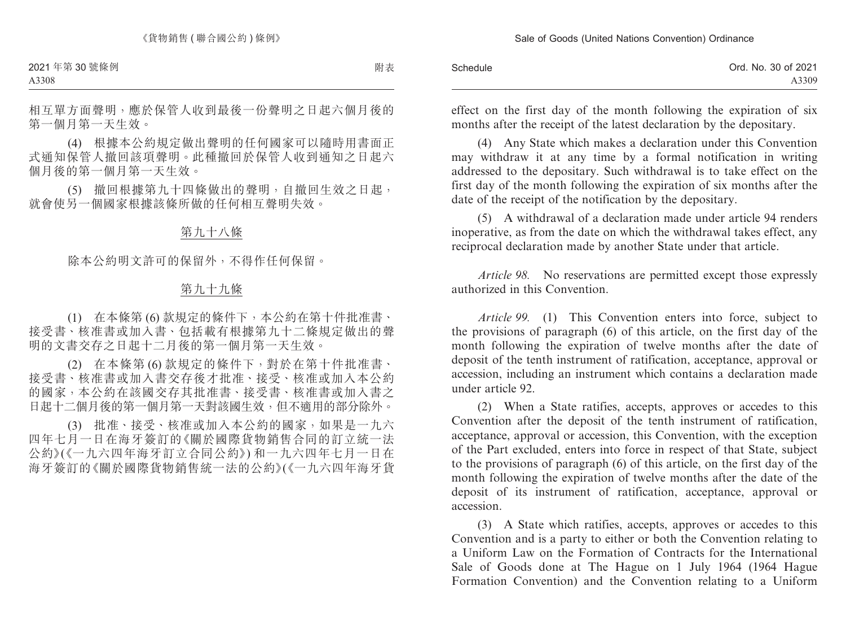| Schedule | Ord. No. 30 of 2021 |
|----------|---------------------|
|          | A3309               |

effect on the first day of the month following the expiration of six months after the receipt of the latest declaration by the depositary.

(4) Any State which makes a declaration under this Convention may withdraw it at any time by a formal notification in writing addressed to the depositary. Such withdrawal is to take effect on the first day of the month following the expiration of six months after the date of the receipt of the notification by the depositary.

(5) A withdrawal of a declaration made under article 94 renders inoperative, as from the date on which the withdrawal takes effect, any reciprocal declaration made by another State under that article.

*Article 98.* No reservations are permitted except those expressly authorized in this Convention.

*Article 99.* (1) This Convention enters into force, subject to the provisions of paragraph (6) of this article, on the first day of the month following the expiration of twelve months after the date of deposit of the tenth instrument of ratification, acceptance, approval or accession, including an instrument which contains a declaration made under article 92.

(2) When a State ratifies, accepts, approves or accedes to this Convention after the deposit of the tenth instrument of ratification, acceptance, approval or accession, this Convention, with the exception of the Part excluded, enters into force in respect of that State, subject to the provisions of paragraph (6) of this article, on the first day of the month following the expiration of twelve months after the date of the deposit of its instrument of ratification, acceptance, approval or accession.

(3) A State which ratifies, accepts, approves or accedes to this Convention and is a party to either or both the Convention relating to a Uniform Law on the Formation of Contracts for the International Sale of Goods done at The Hague on 1 July 1964 (1964 Hague Formation Convention) and the Convention relating to a Uniform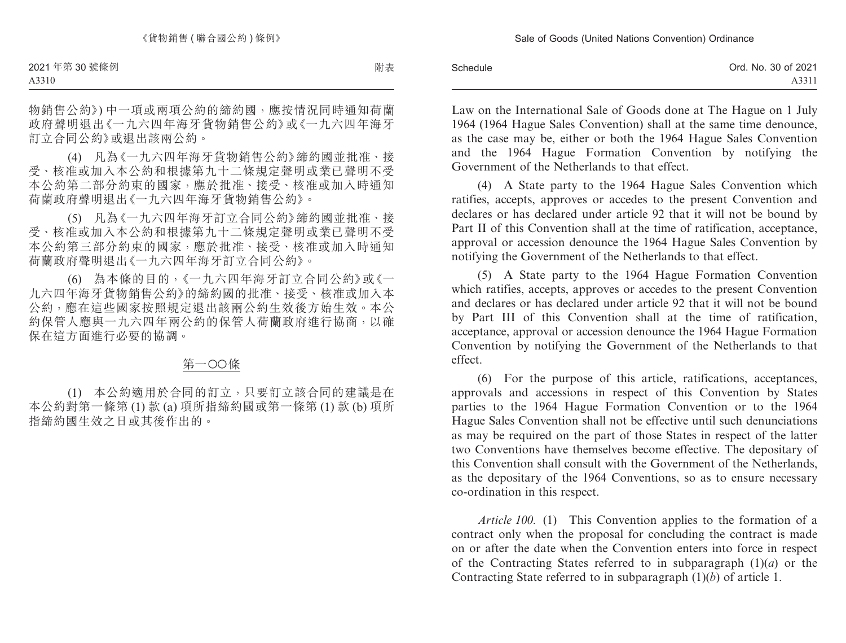| Schedule | Ord. No. 30 of 2021 |
|----------|---------------------|
|          | A3311               |

Law on the International Sale of Goods done at The Hague on 1 July 1964 (1964 Hague Sales Convention) shall at the same time denounce, as the case may be, either or both the 1964 Hague Sales Convention and the 1964 Hague Formation Convention by notifying the Government of the Netherlands to that effect.

(4) A State party to the 1964 Hague Sales Convention which ratifies, accepts, approves or accedes to the present Convention and declares or has declared under article 92 that it will not be bound by Part II of this Convention shall at the time of ratification, acceptance, approval or accession denounce the 1964 Hague Sales Convention by notifying the Government of the Netherlands to that effect.

(5) A State party to the 1964 Hague Formation Convention which ratifies, accepts, approves or accedes to the present Convention and declares or has declared under article 92 that it will not be bound by Part III of this Convention shall at the time of ratification, acceptance, approval or accession denounce the 1964 Hague Formation Convention by notifying the Government of the Netherlands to that effect.

(6) For the purpose of this article, ratifications, acceptances, approvals and accessions in respect of this Convention by States parties to the 1964 Hague Formation Convention or to the 1964 Hague Sales Convention shall not be effective until such denunciations as may be required on the part of those States in respect of the latter two Conventions have themselves become effective. The depositary of this Convention shall consult with the Government of the Netherlands, as the depositary of the 1964 Conventions, so as to ensure necessary co-ordination in this respect.

*Article 100.* (1) This Convention applies to the formation of a contract only when the proposal for concluding the contract is made on or after the date when the Convention enters into force in respect of the Contracting States referred to in subparagraph  $(1)(a)$  or the Contracting State referred to in subparagraph (1)(*b*) of article 1.